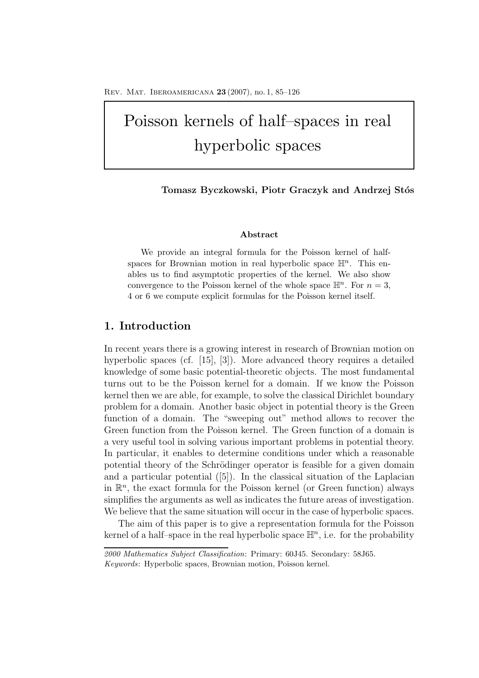# Poisson kernels of half–spaces in real hyperbolic spaces

Tomasz Byczkowski, Piotr Graczyk and Andrzej Stós

## **Abstract**

We provide an integral formula for the Poisson kernel of halfspaces for Brownian motion in real hyperbolic space  $\mathbb{H}^n$ . This enables us to find asymptotic properties of the kernel. We also show convergence to the Poisson kernel of the whole space  $\mathbb{H}^n$ . For  $n=3$ , 4 or 6 we compute explicit formulas for the Poisson kernel itself.

# **1. Introduction**

In recent years there is a growing interest in research of Brownian motion on hyperbolic spaces (cf. [15], [3]). More advanced theory requires a detailed knowledge of some basic potential-theoretic objects. The most fundamental turns out to be the Poisson kernel for a domain. If we know the Poisson kernel then we are able, for example, to solve the classical Dirichlet boundary problem for a domain. Another basic object in potential theory is the Green function of a domain. The "sweeping out" method allows to recover the Green function from the Poisson kernel. The Green function of a domain is a very useful tool in solving various important problems in potential theory. In particular, it enables to determine conditions under which a reasonable potential theory of the Schrödinger operator is feasible for a given domain and a particular potential ([5]). In the classical situation of the Laplacian in  $\mathbb{R}^n$ , the exact formula for the Poisson kernel (or Green function) always simplifies the arguments as well as indicates the future areas of investigation. We believe that the same situation will occur in the case of hyperbolic spaces.

The aim of this paper is to give a representation formula for the Poisson kernel of a half–space in the real hyperbolic space  $\mathbb{H}^n$ , i.e. for the probability

*<sup>2000</sup> Mathematics Subject Classification*: Primary: 60J45. Secondary: 58J65. *Keywords*: Hyperbolic spaces, Brownian motion, Poisson kernel.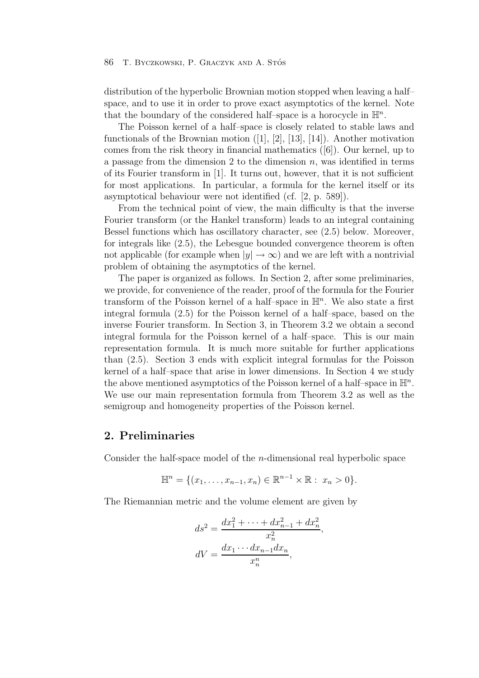distribution of the hyperbolic Brownian motion stopped when leaving a half– space, and to use it in order to prove exact asymptotics of the kernel. Note that the boundary of the considered half–space is a horocycle in  $\mathbb{H}^n$ .

The Poisson kernel of a half–space is closely related to stable laws and functionals of the Brownian motion  $([1], [2], [13], [14])$ . Another motivation comes from the risk theory in financial mathematics ([6]). Our kernel, up to a passage from the dimension 2 to the dimension  $n$ , was identified in terms of its Fourier transform in [1]. It turns out, however, that it is not sufficient for most applications. In particular, a formula for the kernel itself or its asymptotical behaviour were not identified (cf. [2, p. 589]).

From the technical point of view, the main difficulty is that the inverse Fourier transform (or the Hankel transform) leads to an integral containing Bessel functions which has oscillatory character, see (2.5) below. Moreover, for integrals like (2.5), the Lebesgue bounded convergence theorem is often not applicable (for example when  $|y| \to \infty$ ) and we are left with a nontrivial problem of obtaining the asymptotics of the kernel.

The paper is organized as follows. In Section 2, after some preliminaries, we provide, for convenience of the reader, proof of the formula for the Fourier transform of the Poisson kernel of a half–space in  $\mathbb{H}^n$ . We also state a first integral formula (2.5) for the Poisson kernel of a half–space, based on the inverse Fourier transform. In Section 3, in Theorem 3.2 we obtain a second integral formula for the Poisson kernel of a half–space. This is our main representation formula. It is much more suitable for further applications than (2.5). Section 3 ends with explicit integral formulas for the Poisson kernel of a half–space that arise in lower dimensions. In Section 4 we study the above mentioned asymptotics of the Poisson kernel of a half–space in  $\mathbb{H}^n$ . We use our main representation formula from Theorem 3.2 as well as the semigroup and homogeneity properties of the Poisson kernel.

# **2. Preliminaries**

Consider the half-space model of the n-dimensional real hyperbolic space

$$
\mathbb{H}^{n} = \{ (x_1, \ldots, x_{n-1}, x_n) \in \mathbb{R}^{n-1} \times \mathbb{R} : x_n > 0 \}.
$$

The Riemannian metric and the volume element are given by

$$
ds^{2} = \frac{dx_{1}^{2} + \dots + dx_{n-1}^{2} + dx_{n}^{2}}{x_{n}^{2}}
$$

$$
dV = \frac{dx_{1} \cdots dx_{n-1} dx_{n}}{x_{n}^{n}},
$$

,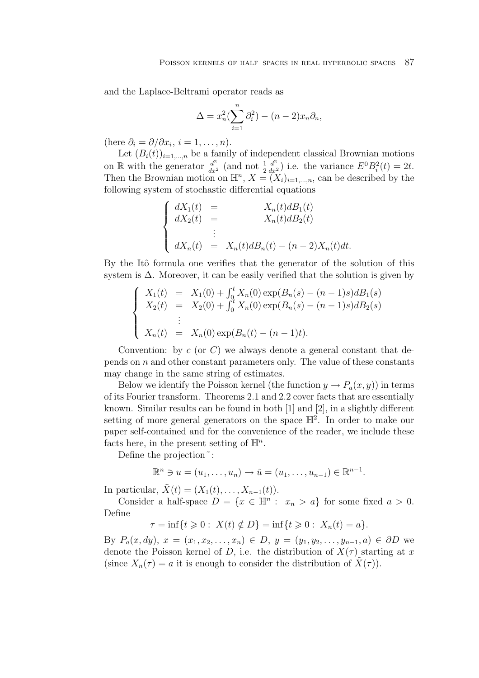and the Laplace-Beltrami operator reads as

$$
\Delta = x_n^2 \left( \sum_{i=1}^n \partial_i^2 \right) - (n-2)x_n \partial_n,
$$

(here  $\partial_i = \partial/\partial x_i$ ,  $i = 1, \ldots, n$ ).

Let  $(B_i(t))_{i=1,\dots,n}$  be a family of independent classical Brownian motions on R with the generator  $\frac{d^2}{dx^2}$  (and not  $\frac{1}{2}$ )  $\frac{d^2}{dx^2}$ ) i.e. the variance  $E^0B_i^2(t)=2t$ . Then the Brownian motion on  $\mathbb{H}^n$ ,  $X = (X_i)_{i=1,\dots,n}$ , can be described by the following system of stochastic differential equations

$$
\begin{cases}\n dX_1(t) = & X_n(t) \, dB_1(t) \\
 dX_2(t) = & X_n(t) \, dB_2(t) \\
 \vdots \\
 dX_n(t) = X_n(t) \, dB_n(t) - (n-2)X_n(t) \, dt.\n\end{cases}
$$

By the Itô formula one verifies that the generator of the solution of this system is  $\Delta$ . Moreover, it can be easily verified that the solution is given by

$$
\begin{cases}\nX_1(t) = X_1(0) + \int_0^t X_n(0) \exp(B_n(s) - (n-1)s) dB_1(s) \\
X_2(t) = X_2(0) + \int_0^t X_n(0) \exp(B_n(s) - (n-1)s) dB_2(s) \\
\vdots \\
X_n(t) = X_n(0) \exp(B_n(t) - (n-1)t).\n\end{cases}
$$

Convention: by  $c$  (or C) we always denote a general constant that depends on  $n$  and other constant parameters only. The value of these constants may change in the same string of estimates.

Below we identify the Poisson kernel (the function  $y \to P_a(x, y)$ ) in terms of its Fourier transform. Theorems 2.1 and 2.2 cover facts that are essentially known. Similar results can be found in both [1] and [2], in a slightly different setting of more general generators on the space  $\mathbb{H}^2$ . In order to make our paper self-contained and for the convenience of the reader, we include these facts here, in the present setting of  $\mathbb{H}^n$ .

Define the projection<sup> $\tilde{\ }$ </sup>:

$$
\mathbb{R}^n \ni u = (u_1, \dots, u_n) \to \tilde{u} = (u_1, \dots, u_{n-1}) \in \mathbb{R}^{n-1}.
$$

In particular,  $\tilde{X}(t)=(X_1(t),\ldots,X_{n-1}(t)).$ 

Consider a half-space  $D = \{x \in \mathbb{H}^n : x_n > a\}$  for some fixed  $a > 0$ . Define

$$
\tau = \inf\{t \geq 0 : X(t) \notin D\} = \inf\{t \geq 0 : X_n(t) = a\}.
$$

By  $P_a(x, dy), x = (x_1, x_2, \ldots, x_n) \in D, y = (y_1, y_2, \ldots, y_{n-1}, a) \in \partial D$  we denote the Poisson kernel of D, i.e. the distribution of  $X(\tau)$  starting at x (since  $X_n(\tau) = a$  it is enough to consider the distribution of  $X(\tau)$ ).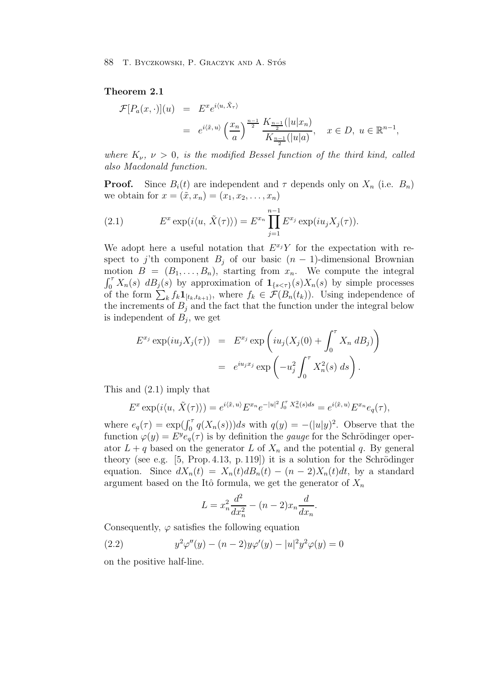## **Theorem 2.1**

$$
\mathcal{F}[P_a(x, \cdot)](u) = E^x e^{i\langle u, \tilde{X}_\tau \rangle} \n= e^{i\langle \tilde{x}, u \rangle} \left(\frac{x_n}{a}\right)^{\frac{n-1}{2}} \frac{K_{\frac{n-1}{2}}(|u|x_n)}{K_{\frac{n-1}{2}}(|u|a)}, \quad x \in D, u \in \mathbb{R}^{n-1},
$$

*where*  $K_{\nu}$ ,  $\nu > 0$ , *is the modified Bessel function of the third kind, called also Macdonald function.*

**Proof.** Since  $B_i(t)$  are independent and  $\tau$  depends only on  $X_n$  (i.e.  $B_n$ ) we obtain for  $x = (\tilde{x}, x_n) = (x_1, x_2, ..., x_n)$ 

(2.1) 
$$
E^x \exp(i\langle u, \tilde{X}(\tau) \rangle) = E^{x_n} \prod_{j=1}^{n-1} E^{x_j} \exp(iu_j X_j(\tau)).
$$

We adopt here a useful notation that  $E^{x_j}Y$  for the expectation with respect to j'th component  $B_i$  of our basic  $(n-1)$ -dimensional Brownian motion  $B = (B_1, \ldots, B_n)$ , starting from  $x_n$ . We compute the integral  $\int_0^{\tau} X_n(s) \, dB_j(s)$  by approximation of  $\mathbf{1}_{\{s \leq \tau\}}(s) X_n(s)$  by simple processes of the form  $\sum_{k} f_k \mathbf{1}_{[t_k,t_{k+1})}$ , where  $f_k \in \mathcal{F}(B_n(t_k))$ . Using independence of the increments of  $B_i$  and the fact that the function under the integral below is independent of  $B_i$ , we get

$$
E^{x_j} \exp(iu_j X_j(\tau)) = E^{x_j} \exp\left(iu_j (X_j(0) + \int_0^{\tau} X_n dB_j)\right)
$$
  
=  $e^{iu_j x_j} \exp\left(-u_j^2 \int_0^{\tau} X_n^2(s) ds\right).$ 

This and (2.1) imply that

$$
E^x \exp(i\langle u, \tilde{X}(\tau)\rangle) = e^{i\langle \tilde{x}, u \rangle} E^{x_n} e^{-|u|^2 \int_0^{\tau} X_n^2(s) ds} = e^{i\langle \tilde{x}, u \rangle} E^{x_n} e_q(\tau),
$$

where  $e_q(\tau) = \exp(\int_0^{\tau} q(X_n(s)))ds$  with  $q(y) = -(|u|y)^2$ . Observe that the function  $\varphi(y) = E^y e_q(\tau)$  is by definition the *gauge* for the Schrödinger operator  $L + q$  based on the generator L of  $X_n$  and the potential q. By general theory (see e.g.  $[5, Prop. 4.13, p. 119]$ ) it is a solution for the Schrödinger equation. Since  $dX_n(t) = X_n(t)dB_n(t) - (n-2)X_n(t)dt$ , by a standard argument based on the Itô formula, we get the generator of  $X_n$ 

$$
L = x_n^2 \frac{d^2}{dx_n^2} - (n-2)x_n \frac{d}{dx_n}.
$$

Consequently,  $\varphi$  satisfies the following equation

(2.2) 
$$
y^2 \varphi''(y) - (n-2)y\varphi'(y) - |u|^2 y^2 \varphi(y) = 0
$$

on the positive half-line.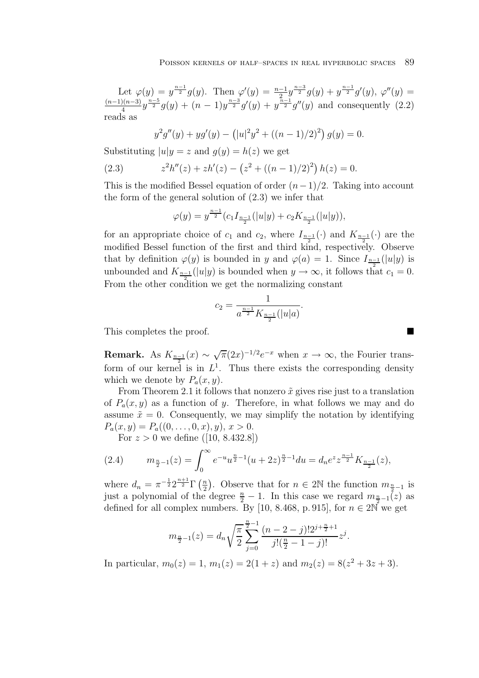Let  $\varphi(y) = y^{\frac{n-1}{2}} g(y)$ . Then  $\varphi'(y) = \frac{n-1}{2} y^{\frac{n-3}{2}} g(y) + y^{\frac{n-1}{2}} g'(y)$ ,  $\varphi''(y) =$  $\frac{(n-1)(n-3)}{4}y^{\frac{n-5}{2}}g(y)+(n-1)y^{\frac{n-3}{2}}g'(y)+y^{\frac{n-1}{2}}g''(y)$  and consequently  $(2.2)$ reads as

$$
y^{2}g''(y) + yg'(y) - (|u|^{2}y^{2} + ((n - 1)/2)^{2}) g(y) = 0.
$$

Substituting  $|u|y = z$  and  $q(y) = h(z)$  we get

(2.3) 
$$
z^{2}h''(z) + zh'(z) - (z^{2} + ((n - 1)/2)^{2})h(z) = 0.
$$

This is the modified Bessel equation of order  $(n-1)/2$ . Taking into account the form of the general solution of (2.3) we infer that

$$
\varphi(y) = y^{\frac{n-1}{2}} (c_1 I_{\frac{n-1}{2}}(|u|y) + c_2 K_{\frac{n-1}{2}}(|u|y)),
$$

for an appropriate choice of  $c_1$  and  $c_2$ , where  $I_{\frac{n-1}{2}}(\cdot)$  and  $K_{\frac{n-1}{2}}(\cdot)$  are the modified Bessel function of the first and third kind, respectively. Observe that by definition  $\varphi(y)$  is bounded in y and  $\varphi(a) = 1$ . Since  $I_{\frac{n-1}{2}}(|u|y)$  is unbounded and  $K_{\frac{n-1}{2}}(|u|y)$  is bounded when  $y \to \infty$ , it follows that  $c_1 = 0$ . From the other condition we get the normalizing constant

$$
c_2 = \frac{1}{a^{\frac{n-1}{2}} K_{\frac{n-1}{2}}(|u|a)}.
$$

This completes the proof.

**Remark.** As  $K_{\frac{n-1}{2}}(x) \sim \sqrt{\pi} (2x)^{-1/2} e^{-x}$  when  $x \to \infty$ , the Fourier transform of our kernel is in  $L^1$ . Thus there exists the corresponding density which we denote by  $P_a(x, y)$ .

From Theorem 2.1 it follows that nonzero  $\tilde{x}$  gives rise just to a translation of  $P_a(x, y)$  as a function of y. Therefore, in what follows we may and do assume  $\tilde{x} = 0$ . Consequently, we may simplify the notation by identifying  $P_a(x, y) = P_a((0, \ldots, 0, x), y), x > 0.$ 

For  $z > 0$  we define ([10, 8.432.8])

(2.4) 
$$
m_{\frac{n}{2}-1}(z) = \int_0^\infty e^{-u} u^{\frac{n}{2}-1} (u+2z)^{\frac{n}{2}-1} du = d_n e^{z} z^{\frac{n-1}{2}} K_{\frac{n-1}{2}}(z),
$$

where  $d_n = \pi^{-\frac{1}{2}} 2^{\frac{n+1}{2}} \Gamma\left(\frac{n}{2}\right)$ . Observe that for  $n \in 2\mathbb{N}$  the function  $m_{\frac{n}{2}-1}$  is just a polynomial of the degree  $\frac{n}{2} - 1$ . In this case we regard  $m_{\frac{n}{2}-1}(z)$  as defined for all complex numbers. By [10, 8.468, p. 915], for  $n \in 2\mathbb{N}$  we get

$$
m_{\frac{n}{2}-1}(z) = d_n \sqrt{\frac{\pi}{2}} \sum_{j=0}^{\frac{n}{2}-1} \frac{(n-2-j)!2^{j+\frac{n}{2}+1}}{j!(\frac{n}{2}-1-j)!} z^j.
$$

In particular,  $m_0(z) = 1$ ,  $m_1(z) = 2(1+z)$  and  $m_2(z) = 8(z^2 + 3z + 3)$ .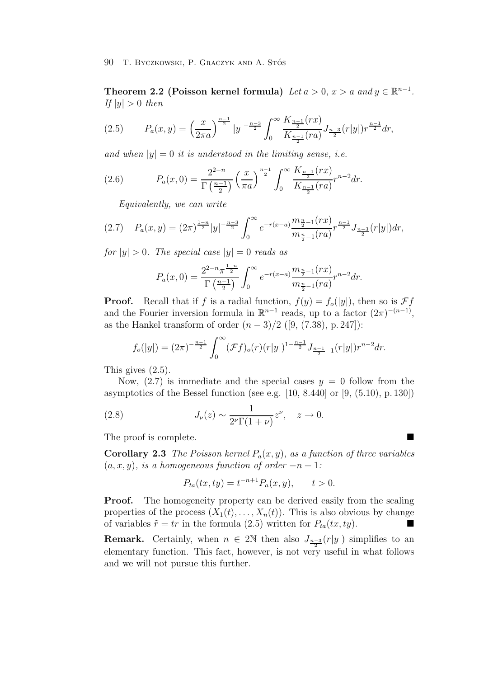**Theorem 2.2 (Poisson kernel formula)** *Let*  $a > 0$ ,  $x > a$  *and*  $y \in \mathbb{R}^{n-1}$ *. If*  $|y| > 0$  *then* 

$$
(2.5) \tP_a(x,y) = \left(\frac{x}{2\pi a}\right)^{\frac{n-1}{2}} |y|^{-\frac{n-3}{2}} \int_0^\infty \frac{K_{\frac{n-1}{2}}(rx)}{K_{\frac{n-1}{2}}(ra)} J_{\frac{n-3}{2}}(r|y|) r^{\frac{n-1}{2}} dr,
$$

*and when*  $|y| = 0$  *it is understood in the limiting sense, i.e.* 

(2.6) 
$$
P_a(x,0) = \frac{2^{2-n}}{\Gamma(\frac{n-1}{2})} \left(\frac{x}{\pi a}\right)^{\frac{n-1}{2}} \int_0^\infty \frac{K_{\frac{n-1}{2}}(rx)}{K_{\frac{n-1}{2}}(ra)} r^{n-2} dr.
$$

*Equivalently, we can write*

$$
(2.7) \quad P_a(x,y) = (2\pi)^{\frac{1-n}{2}}|y|^{-\frac{n-3}{2}}\int_0^\infty e^{-r(x-a)}\frac{m_{\frac{n}{2}-1}(rx)}{m_{\frac{n}{2}-1}(ra)}r^{\frac{n-1}{2}}J_{\frac{n-3}{2}}(r|y|)dr,
$$

*for*  $|y| > 0$ *. The special case*  $|y| = 0$  *reads as* 

$$
P_a(x,0) = \frac{2^{2-n} \pi^{\frac{1-n}{2}}}{\Gamma(\frac{n-1}{2})} \int_0^\infty e^{-r(x-a)} \frac{m_{\frac{n}{2}-1}(rx)}{m_{\frac{n}{2}-1}(ra)} r^{n-2} dr.
$$

**Proof.** Recall that if f is a radial function,  $f(y) = f_o(|y|)$ , then so is  $\mathcal{F}f$ and the Fourier inversion formula in  $\mathbb{R}^{n-1}$  reads, up to a factor  $(2\pi)^{-(n-1)}$ , as the Hankel transform of order  $(n-3)/2$  ([9, (7.38), p. 247]):

$$
f_o(|y|) = (2\pi)^{-\frac{n-1}{2}} \int_0^\infty (\mathcal{F}f)_o(r)(r|y|)^{1-\frac{n-1}{2}} J_{\frac{n-1}{2}-1}(r|y|) r^{n-2} dr.
$$

This gives (2.5).

Now,  $(2.7)$  is immediate and the special cases  $y = 0$  follow from the asymptotics of the Bessel function (see e.g.  $[10, 8.440]$  or  $[9, (5.10), p. 130]$ )

(2.8) 
$$
J_{\nu}(z) \sim \frac{1}{2^{\nu} \Gamma(1+\nu)} z^{\nu}, \quad z \to 0.
$$

The proof is complete.

**Corollary 2.3** *The Poisson kernel*  $P_a(x, y)$ *, as a function of three variables*  $(a, x, y)$ *, is a homogeneous function of order*  $-n+1$ :

$$
P_{ta}(tx, ty) = t^{-n+1} P_a(x, y), \qquad t > 0.
$$

**Proof.** The homogeneity property can be derived easily from the scaling properties of the process  $(X_1(t),...,X_n(t))$ . This is also obvious by change of variables  $\tilde{r} = tr$  in the formula (2.5) written for  $P_{ta}(tx, ty)$ .  $\blacksquare$ 

**Remark.** Certainly, when  $n \in 2\mathbb{N}$  then also  $J_{\frac{n-3}{2}}(r|y|)$  simplifies to an elementary function. This fact, however, is not very useful in what follows and we will not pursue this further.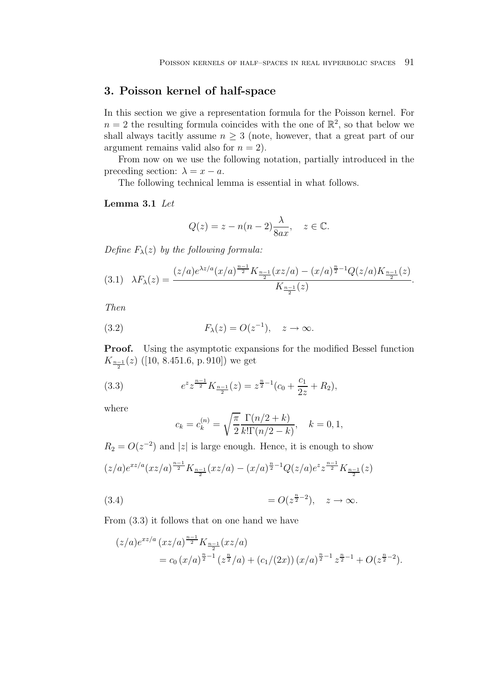# **3. Poisson kernel of half-space**

In this section we give a representation formula for the Poisson kernel. For  $n = 2$  the resulting formula coincides with the one of  $\mathbb{R}^2$ , so that below we shall always tacitly assume  $n \geq 3$  (note, however, that a great part of our argument remains valid also for  $n = 2$ ).

From now on we use the following notation, partially introduced in the preceding section:  $\lambda = x - a$ .

The following technical lemma is essential in what follows.

## **Lemma 3.1** *Let*

$$
Q(z) = z - n(n-2)\frac{\lambda}{8ax}, \quad z \in \mathbb{C}.
$$

*Define*  $F_{\lambda}(z)$  *by the following formula:* 

$$
(3.1)\quad\lambda F_{\lambda}(z) = \frac{(z/a)e^{\lambda z/a}(x/a)^{\frac{n-1}{2}}K_{\frac{n-1}{2}}(xz/a) - (x/a)^{\frac{n}{2}-1}Q(z/a)K_{\frac{n-1}{2}}(z)}{K_{\frac{n-1}{2}}(z)}.
$$

*Then*

(3.2) 
$$
F_{\lambda}(z) = O(z^{-1}), \quad z \to \infty.
$$

**Proof.** Using the asymptotic expansions for the modified Bessel function  $K_{\frac{n-1}{2}}(z)$  ([10, 8.451.6, p. 910]) we get

(3.3) 
$$
e^{z} z^{\frac{n-1}{2}} K_{\frac{n-1}{2}}(z) = z^{\frac{n}{2}-1} (c_0 + \frac{c_1}{2z} + R_2),
$$

where

$$
c_k = c_k^{(n)} = \sqrt{\frac{\pi}{2}} \frac{\Gamma(n/2 + k)}{k! \Gamma(n/2 - k)}, \quad k = 0, 1,
$$

 $R_2 = O(z^{-2})$  and |z| is large enough. Hence, it is enough to show

$$
(z/a)e^{xz/a}(xz/a)^{\frac{n-1}{2}}K_{\frac{n-1}{2}}(xz/a)-(x/a)^{\frac{n}{2}-1}Q(z/a)e^{z}z^{\frac{n-1}{2}}K_{\frac{n-1}{2}}(z)
$$

= O(z n <sup>2</sup> <sup>−</sup><sup>2</sup> (3.4) ), z → ∞.

From (3.3) it follows that on one hand we have

$$
(z/a)e^{xz/a} (xz/a)^{\frac{n-1}{2}} K_{\frac{n-1}{2}}(xz/a)
$$
  
=  $c_0 (x/a)^{\frac{n}{2}-1} (z^{\frac{n}{2}}/a) + (c_1/(2x)) (x/a)^{\frac{n}{2}-1} z^{\frac{n}{2}-1} + O(z^{\frac{n}{2}-2}).$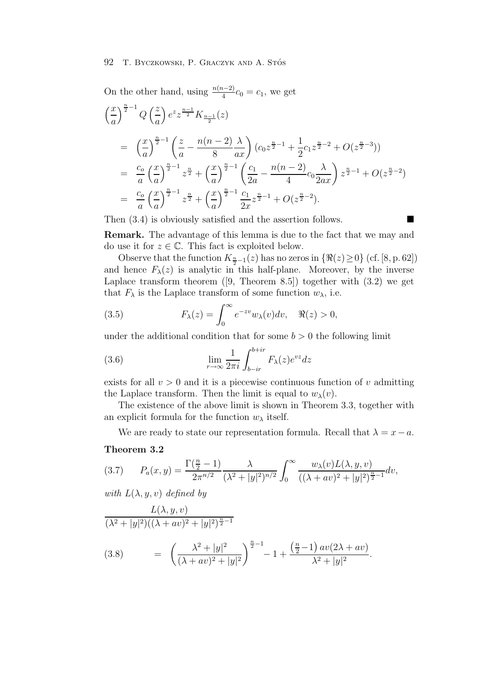On the other hand, using 
$$
\frac{n(n-2)}{4}c_0 = c_1
$$
, we get  
\n
$$
\left(\frac{x}{a}\right)^{\frac{n}{2}-1} Q\left(\frac{z}{a}\right) e^z z^{\frac{n-1}{2}} K_{\frac{n-1}{2}}(z)
$$
\n
$$
= \left(\frac{x}{a}\right)^{\frac{n}{2}-1} \left(\frac{z}{a} - \frac{n(n-2)}{8} \frac{\lambda}{ax}\right) (c_0 z^{\frac{n}{2}-1} + \frac{1}{2} c_1 z^{\frac{n}{2}-2} + O(z^{\frac{n}{2}-3}))
$$
\n
$$
= \frac{c_0}{a} \left(\frac{x}{a}\right)^{\frac{n}{2}-1} z^{\frac{n}{2}} + \left(\frac{x}{a}\right)^{\frac{n}{2}-1} \left(\frac{c_1}{2a} - \frac{n(n-2)}{4} c_0 \frac{\lambda}{2ax}\right) z^{\frac{n}{2}-1} + O(z^{\frac{n}{2}-2})
$$
\n
$$
= \frac{c_0}{a} \left(\frac{x}{a}\right)^{\frac{n}{2}-1} z^{\frac{n}{2}} + \left(\frac{x}{a}\right)^{\frac{n}{2}-1} \frac{c_1}{2x} z^{\frac{n}{2}-1} + O(z^{\frac{n}{2}-2}).
$$

Then  $(3.4)$  is obviously satisfied and the assertion follows.

**Remark.** The advantage of this lemma is due to the fact that we may and do use it for  $z \in \mathbb{C}$ . This fact is exploited below.

Observe that the function  $K_{\frac{n}{2}-1}(z)$  has no zeros in  $\{\Re(z)\geq 0\}$  (cf. [8, p. 62]) and hence  $F_{\lambda}(z)$  is analytic in this half-plane. Moreover, by the inverse Laplace transform theorem  $([9,$  Theorem 8.5]) together with  $(3.2)$  we get that  $F_{\lambda}$  is the Laplace transform of some function  $w_{\lambda}$ , i.e.

(3.5) 
$$
F_{\lambda}(z) = \int_0^{\infty} e^{-zv} w_{\lambda}(v) dv, \quad \Re(z) > 0,
$$

under the additional condition that for some  $b > 0$  the following limit

(3.6) 
$$
\lim_{r \to \infty} \frac{1}{2\pi i} \int_{b-ir}^{b+ir} F_{\lambda}(z) e^{vz} dz
$$

exists for all  $v > 0$  and it is a piecewise continuous function of v admitting the Laplace transform. Then the limit is equal to  $w_{\lambda}(v)$ .

The existence of the above limit is shown in Theorem 3.3, together with an explicit formula for the function  $w_{\lambda}$  itself.

We are ready to state our representation formula. Recall that  $\lambda = x - a$ .

#### **Theorem 3.2**

$$
(3.7) \qquad P_a(x,y) = \frac{\Gamma(\frac{n}{2}-1)}{2\pi^{n/2}} \frac{\lambda}{(\lambda^2+|y|^2)^{n/2}} \int_0^\infty \frac{w_\lambda(v)L(\lambda,y,v)}{((\lambda+av)^2+|y|^2)^{\frac{n}{2}-1}} dv,
$$

*with*  $L(\lambda, y, v)$  *defined by* 

$$
\frac{L(\lambda, y, v)}{(\lambda^2 + |y|^2)((\lambda + av)^2 + |y|^2)^{\frac{n}{2} - 1}}
$$
\n(3.8) 
$$
= \left(\frac{\lambda^2 + |y|^2}{(\lambda + av)^2 + |y|^2}\right)^{\frac{n}{2} - 1} - 1 + \frac{\left(\frac{n}{2} - 1\right)av(2\lambda + av)}{\lambda^2 + |y|^2}.
$$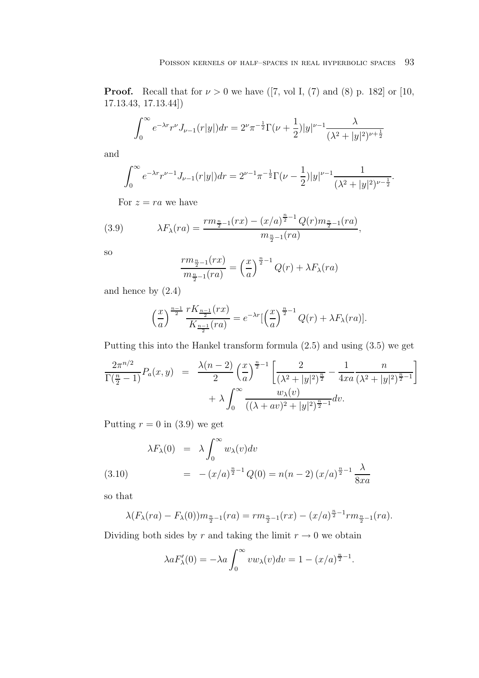**Proof.** Recall that for  $\nu > 0$  we have ([7, vol I, (7) and (8) p. 182] or [10, 17.13.43, 17.13.44])

$$
\int_0^\infty e^{-\lambda r} r^{\nu} J_{\nu-1}(r|y|) dr = 2^{\nu} \pi^{-\frac{1}{2}} \Gamma(\nu + \frac{1}{2}) |y|^{\nu-1} \frac{\lambda}{(\lambda^2 + |y|^2)^{\nu + \frac{1}{2}}}
$$

and

$$
\int_0^\infty e^{-\lambda r} r^{\nu-1} J_{\nu-1}(r|y|) dr = 2^{\nu-1} \pi^{-\frac{1}{2}} \Gamma(\nu - \frac{1}{2}) |y|^{\nu-1} \frac{1}{(\lambda^2 + |y|^2)^{\nu - \frac{1}{2}}}.
$$

For  $z = ra$  we have

(3.9) 
$$
\lambda F_{\lambda}(ra) = \frac{rm_{\frac{n}{2}-1}(rx) - (x/a)^{\frac{n}{2}-1}Q(r)m_{\frac{n}{2}-1}(ra)}{m_{\frac{n}{2}-1}(ra)},
$$

so

$$
\frac{rm_{\frac{n}{2}-1}(rx)}{m_{\frac{n}{2}-1}(ra)} = \left(\frac{x}{a}\right)^{\frac{n}{2}-1} Q(r) + \lambda F_{\lambda}(ra)
$$

and hence by (2.4)

$$
\left(\frac{x}{a}\right)^{\frac{n-1}{2}} \frac{rK_{\frac{n-1}{2}}(rx)}{K_{\frac{n-1}{2}}(ra)} = e^{-\lambda r} \left[\left(\frac{x}{a}\right)^{\frac{n}{2}-1} Q(r) + \lambda F_{\lambda}(ra)\right].
$$

Putting this into the Hankel transform formula (2.5) and using (3.5) we get

$$
\frac{2\pi^{n/2}}{\Gamma(\frac{n}{2}-1)}P_a(x,y) = \frac{\lambda(n-2)}{2}\left(\frac{x}{a}\right)^{\frac{n}{2}-1}\left[\frac{2}{(\lambda^2+|y|^2)^{\frac{n}{2}}}-\frac{1}{4xa}\frac{n}{(\lambda^2+|y|^2)^{\frac{n}{2}-1}}\right] + \lambda \int_0^\infty \frac{w_\lambda(v)}{((\lambda+av)^2+|y|^2)^{\frac{n}{2}-1}}dv.
$$

Putting  $r = 0$  in (3.9) we get

(3.10) 
$$
\lambda F_{\lambda}(0) = \lambda \int_0^{\infty} w_{\lambda}(v) dv
$$

$$
= -(x/a)^{\frac{n}{2}-1} Q(0) = n(n-2) (x/a)^{\frac{n}{2}-1} \frac{\lambda}{8xa}
$$

so that

$$
\lambda(F_{\lambda}(ra) - F_{\lambda}(0))m_{\frac{n}{2}-1}(ra) = rm_{\frac{n}{2}-1}(rx) - (x/a)^{\frac{n}{2}-1}rm_{\frac{n}{2}-1}(ra).
$$

Dividing both sides by r and taking the limit  $r \to 0$  we obtain

$$
\lambda a F'_{\lambda}(0) = -\lambda a \int_0^{\infty} v w_{\lambda}(v) dv = 1 - (x/a)^{\frac{n}{2} - 1}.
$$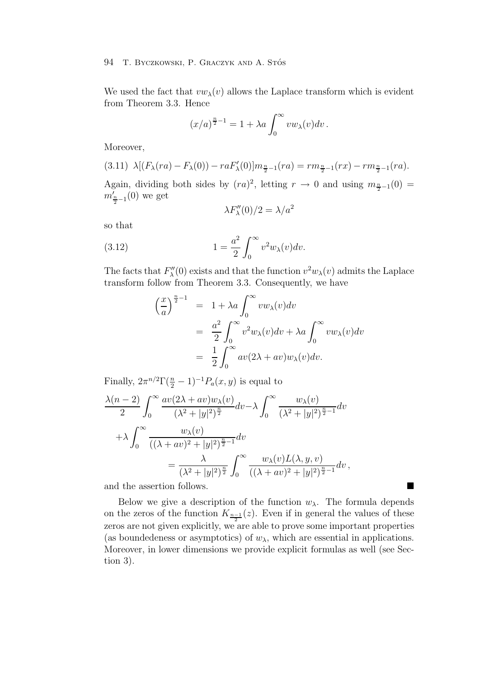We used the fact that  $vw_\lambda(v)$  allows the Laplace transform which is evident from Theorem 3.3. Hence

$$
(x/a)^{\frac{n}{2}-1} = 1 + \lambda a \int_0^\infty vw_\lambda(v)dv.
$$

Moreover,

$$
(3.11)\ \ \lambda[(F_{\lambda}(ra) - F_{\lambda}(0)) - raF'_{\lambda}(0)]m_{\frac{n}{2}-1}(ra) = rm_{\frac{n}{2}-1}(rx) - rm_{\frac{n}{2}-1}(ra).
$$

Again, dividing both sides by  $(ra)^2$ , letting  $r \to 0$  and using  $m_{\frac{n}{2}-1}(0) =$  $m'_{\frac{n}{2}-1}(0)$  we get

$$
\lambda F''_{\lambda}(0)/2 = \lambda/a^2
$$

so that

(3.12) 
$$
1 = \frac{a^2}{2} \int_0^\infty v^2 w_\lambda(v) dv.
$$

The facts that  $F''_{\lambda}(0)$  exists and that the function  $v^2w_{\lambda}(v)$  admits the Laplace transform follow from Theorem 3.3. Consequently, we have

$$
\left(\frac{x}{a}\right)^{\frac{n}{2}-1} = 1 + \lambda a \int_0^\infty vw_\lambda(v)dv
$$
  
= 
$$
\frac{a^2}{2} \int_0^\infty v^2 w_\lambda(v)dv + \lambda a \int_0^\infty vw_\lambda(v)dv
$$
  
= 
$$
\frac{1}{2} \int_0^\infty av(2\lambda + av)w_\lambda(v)dv.
$$

Finally,  $2\pi^{n/2}\Gamma(\frac{n}{2}-1)^{-1}P_a(x,y)$  is equal to

$$
\frac{\lambda(n-2)}{2} \int_0^\infty \frac{av(2\lambda + av)w_\lambda(v)}{(\lambda^2 + |y|^2)^{\frac{n}{2}}} dv - \lambda \int_0^\infty \frac{w_\lambda(v)}{(\lambda^2 + |y|^2)^{\frac{n}{2}-1}} dv
$$
  
+ 
$$
\lambda \int_0^\infty \frac{w_\lambda(v)}{((\lambda + av)^2 + |y|^2)^{\frac{n}{2}-1}} dv
$$
  
= 
$$
\frac{\lambda}{(\lambda^2 + |y|^2)^{\frac{n}{2}}} \int_0^\infty \frac{w_\lambda(v)L(\lambda, y, v)}{((\lambda + av)^2 + |y|^2)^{\frac{n}{2}-1}} dv,
$$

and the assertion follows.

Below we give a description of the function  $w_{\lambda}$ . The formula depends on the zeros of the function  $K_{\frac{n-1}{2}}(z)$ . Even if in general the values of these zeros are not given explicitly, we are able to prove some important properties (as boundedeness or asymptotics) of  $w_{\lambda}$ , which are essential in applications. Moreover, in lower dimensions we provide explicit formulas as well (see Section 3).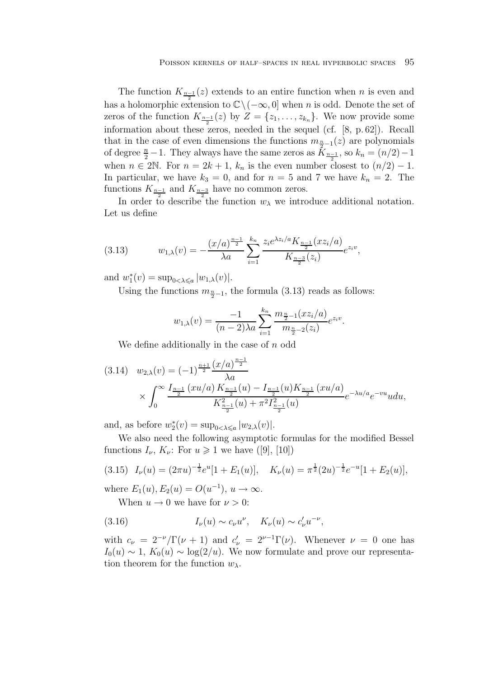The function  $K_{\frac{n-1}{2}}(z)$  extends to an entire function when n is even and has a holomorphic extension to  $\mathbb{C}\setminus(-\infty,0]$  when n is odd. Denote the set of zeros of the function  $K_{\frac{n-1}{2}}(z)$  by  $Z = \{z_1, \ldots, z_{k_n}\}\.$  We now provide some information about these zeros, needed in the sequel (cf. [8, p. 62]). Recall that in the case of even dimensions the functions  $m_{\frac{n}{2}-1}(z)$  are polynomials of degree  $\frac{n}{2} - 1$ . They always have the same zeros as  $\overline{K_{\frac{n-1}{2}}}$ , so  $k_n = (n/2) - 1$ when  $n \in 2\mathbb{N}$ . For  $n = 2k + 1$ ,  $k_n$  is the even number closest to  $(n/2) - 1$ . In particular, we have  $k_3 = 0$ , and for  $n = 5$  and 7 we have  $k_n = 2$ . The functions  $K_{\frac{n-1}{2}}$  and  $K_{\frac{n-3}{2}}$  have no common zeros.

In order to describe the function  $w_{\lambda}$  we introduce additional notation. Let us define

(3.13) 
$$
w_{1,\lambda}(v) = -\frac{(x/a)^{\frac{n-1}{2}}}{\lambda a} \sum_{i=1}^{k_n} \frac{z_i e^{\lambda z_i/a} K_{\frac{n-1}{2}}(xz_i/a)}{K_{\frac{n-3}{2}}(z_i)} e^{z_i v},
$$

and  $w_1^*(v) = \sup_{0 < \lambda \leq a} |w_{1,\lambda}(v)|$ .

Using the functions  $m_{\frac{n}{2}-1}$ , the formula (3.13) reads as follows:

$$
w_{1,\lambda}(v) = \frac{-1}{(n-2)\lambda a} \sum_{i=1}^{k_n} \frac{m_{\frac{n}{2}-1}(xz_i/a)}{m_{\frac{n}{2}-2}(z_i)} e^{z_i v}.
$$

We define additionally in the case of  $n$  odd

$$
(3.14) \quad w_{2,\lambda}(v) = (-1)^{\frac{n+1}{2}} \frac{(x/a)^{\frac{n-1}{2}}}{\lambda a}
$$

$$
\times \int_0^\infty \frac{I_{\frac{n-1}{2}}(xu/a) K_{\frac{n-1}{2}}(u) - I_{\frac{n-1}{2}}(u) K_{\frac{n-1}{2}}(xu/a)}{K_{\frac{n-1}{2}}^2(u) + \pi^2 I_{\frac{n-1}{2}}^2(u)} e^{-\lambda u/a} e^{-vu} u du,
$$

and, as before  $w_2^*(v) = \sup_{0 < \lambda \leq a} |w_{2,\lambda}(v)|$ .

We also need the following asymptotic formulas for the modified Bessel functions  $I_{\nu}$ ,  $K_{\nu}$ : For  $u \geq 1$  we have ([9], [10])

$$
(3.15) \quad I_{\nu}(u) = (2\pi u)^{-\frac{1}{2}} e^u [1 + E_1(u)], \quad K_{\nu}(u) = \pi^{\frac{1}{2}} (2u)^{-\frac{1}{2}} e^{-u} [1 + E_2(u)],
$$

where  $E_1(u)$ ,  $E_2(u) = O(u^{-1})$ ,  $u \to \infty$ .

When  $u \to 0$  we have for  $\nu > 0$ :

(3.16) 
$$
I_{\nu}(u) \sim c_{\nu} u^{\nu}, \quad K_{\nu}(u) \sim c_{\nu}' u^{-\nu},
$$

with  $c_{\nu} = 2^{-\nu}/\Gamma(\nu + 1)$  and  $c'_{\nu} = 2^{\nu-1}\Gamma(\nu)$ . Whenever  $\nu = 0$  one has  $I_0(u) \sim 1$ ,  $K_0(u) \sim \log(2/u)$ . We now formulate and prove our representation theorem for the function  $w_{\lambda}$ .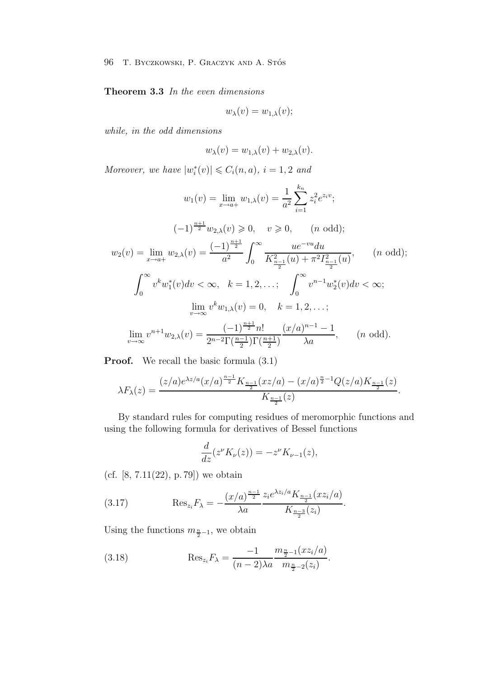**Theorem 3.3** *In the even dimensions*

$$
w_{\lambda}(v)=w_{1,\lambda}(v);
$$

*while, in the odd dimensions*

$$
w_{\lambda}(v) = w_{1,\lambda}(v) + w_{2,\lambda}(v).
$$

*Moreover, we have*  $|w_i^*(v)| \leq C_i(n, a), i = 1, 2$  *and* 

$$
w_1(v) = \lim_{x \to a+} w_{1,\lambda}(v) = \frac{1}{a^2} \sum_{i=1}^{k_n} z_i^2 e^{z_i v};
$$
  
\n
$$
(-1)^{\frac{n+1}{2}} w_{2,\lambda}(v) \ge 0, \quad v \ge 0, \quad (n \text{ odd});
$$
  
\n
$$
w_2(v) = \lim_{x \to a+} w_{2,\lambda}(v) = \frac{(-1)^{\frac{n+1}{2}}}{a^2} \int_0^\infty \frac{u e^{-vu} du}{K_{\frac{n-1}{2}}^2(u) + \pi^2 I_{\frac{n-1}{2}}^2(u)}, \quad (n \text{ odd});
$$
  
\n
$$
\int_0^\infty v^k w_1^*(v) dv < \infty, \quad k = 1, 2, \dots; \quad \int_0^\infty v^{n-1} w_2^*(v) dv < \infty;
$$
  
\n
$$
\lim_{v \to \infty} v^k w_{1,\lambda}(v) = 0, \quad k = 1, 2, \dots;
$$
  
\n
$$
\lim_{v \to \infty} v^{n+1} w_{2,\lambda}(v) = \frac{(-1)^{\frac{n+1}{2}} n!}{2^{n-2} \Gamma(\frac{n-1}{2}) \Gamma(\frac{n+1}{2})} \frac{(x/a)^{n-1} - 1}{\lambda a}, \quad (n \text{ odd}).
$$

**Proof.** We recall the basic formula  $(3.1)$ 

$$
\lambda F_{\lambda}(z) = \frac{(z/a)e^{\lambda z/a}(x/a)^{\frac{n-1}{2}}K_{\frac{n-1}{2}}(xz/a) - (x/a)^{\frac{n}{2}-1}Q(z/a)K_{\frac{n-1}{2}}(z)}{K_{\frac{n-1}{2}}(z)}.
$$

By standard rules for computing residues of meromorphic functions and using the following formula for derivatives of Bessel functions

$$
\frac{d}{dz}(z^{\nu}K_{\nu}(z)) = -z^{\nu}K_{\nu-1}(z),
$$

(cf.  $[8, 7.11(22), p.79]$ ) we obtain

(3.17) 
$$
\operatorname{Res}_{z_i} F_{\lambda} = -\frac{(x/a)^{\frac{n-1}{2}}}{\lambda a} \frac{z_i e^{\lambda z_i/a} K_{\frac{n-1}{2}}(xz_i/a)}{K_{\frac{n-3}{2}}(z_i)}.
$$

Using the functions  $m_{\frac{n}{2}-1}$ , we obtain

(3.18) 
$$
\operatorname{Res}_{z_i} F_{\lambda} = \frac{-1}{(n-2)\lambda a} \frac{m_{\frac{n}{2}-1}(xz_i/a)}{m_{\frac{n}{2}-2}(z_i)}.
$$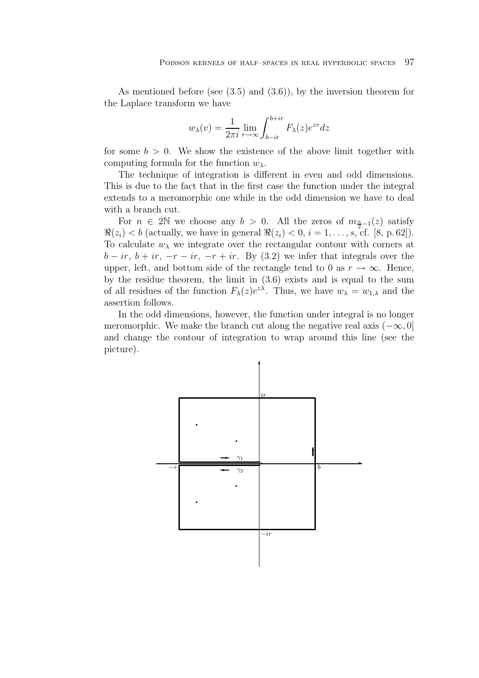As mentioned before (see  $(3.5)$  and  $(3.6)$ ), by the inversion theorem for the Laplace transform we have

$$
w_{\lambda}(v) = \frac{1}{2\pi i} \lim_{r \to \infty} \int_{b-ir}^{b+ir} F_{\lambda}(z) e^{zv} dz
$$

for some  $b > 0$ . We show the existence of the above limit together with computing formula for the function  $w_{\lambda}$ .

The technique of integration is different in even and odd dimensions. This is due to the fact that in the first case the function under the integral extends to a meromorphic one while in the odd dimension we have to deal with a branch cut.

For  $n \in 2\mathbb{N}$  we choose any  $b > 0$ . All the zeros of  $m_{\frac{n}{2}-1}(z)$  satisfy  $\Re(z_i) < b$  (actually, we have in general  $\Re(z_i) < 0, i = 1, \ldots, s$ , cf. [8, p. 62]). To calculate  $w_{\lambda}$  we integrate over the rectangular contour with corners at  $b - ir, b + ir, -r - ir, -r + ir.$  By (3.2) we infer that integrals over the upper, left, and bottom side of the rectangle tend to 0 as  $r \to \infty$ . Hence, by the residue theorem, the limit in (3.6) exists and is equal to the sum of all residues of the function  $F_{\lambda}(z)e^{z\lambda}$ . Thus, we have  $w_{\lambda} = w_{1,\lambda}$  and the assertion follows.

In the odd dimensions, however, the function under integral is no longer meromorphic. We make the branch cut along the negative real axis  $(-\infty, 0]$ and change the contour of integration to wrap around this line (see the picture).

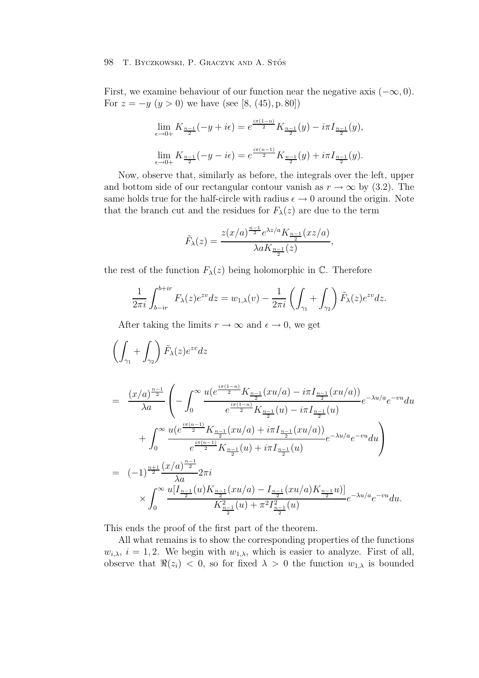First, we examine behaviour of our function near the negative axis  $(-\infty, 0)$ . For  $z = -y$   $(y > 0)$  we have (see [8, (45), p. 80])

$$
\lim_{\epsilon \to 0+} K_{\frac{n-1}{2}}(-y + i\epsilon) = e^{\frac{i\pi(1-n)}{2}} K_{\frac{n-1}{2}}(y) - i\pi I_{\frac{n-1}{2}}(y),
$$
  

$$
\lim_{\epsilon \to 0+} K_{\frac{n-1}{2}}(-y - i\epsilon) = e^{\frac{i\pi(n-1)}{2}} K_{\frac{n-1}{2}}(y) + i\pi I_{\frac{n-1}{2}}(y).
$$

Now, observe that, similarly as before, the integrals over the left, upper and bottom side of our rectangular contour vanish as  $r \to \infty$  by (3.2). The same holds true for the half-circle with radius  $\epsilon \to 0$  around the origin. Note that the branch cut and the residues for  $F_{\lambda}(z)$  are due to the term

$$
\tilde{F}_{\lambda}(z) = \frac{z(x/a)^{\frac{n-1}{2}} e^{\lambda z/a} K_{\frac{n-1}{2}}(xz/a)}{\lambda a K_{\frac{n-1}{2}}(z)},
$$

the rest of the function  $F_{\lambda}(z)$  being holomorphic in  $\mathbb{C}$ . Therefore

$$
\frac{1}{2\pi i} \int_{b-ir}^{b+ir} F_{\lambda}(z) e^{zv} dz = w_{1,\lambda}(v) - \frac{1}{2\pi i} \left( \int_{\gamma_1} + \int_{\gamma_2} \right) \tilde{F}_{\lambda}(z) e^{zv} dz.
$$

After taking the limits  $r \to \infty$  and  $\epsilon \to 0$ , we get

$$
\begin{split}\n&\left(\int_{\gamma_{1}} + \int_{\gamma_{2}}\right) \tilde{F}_{\lambda}(z)e^{zv} dz \\
&= \frac{(x/a)^{\frac{n-1}{2}}}{\lambda a} \left(-\int_{0}^{\infty} \frac{u(e^{\frac{i\pi(1-n)}{2}}K_{\frac{n-1}{2}}(xu/a) - i\pi I_{\frac{n-1}{2}}(xu/a))}{e^{\frac{i\pi(1-n)}{2}}K_{\frac{n-1}{2}}(u) - i\pi I_{\frac{n-1}{2}}(u)}e^{-\lambda u/a}e^{-vu} du\right. \\
&\left. + \int_{0}^{\infty} \frac{u(e^{\frac{i\pi(n-1)}{2}}K_{\frac{n-1}{2}}(xu/a) + i\pi I_{\frac{n-1}{2}}(xu/a))}{e^{\frac{i\pi(n-1)}{2}}K_{\frac{n-1}{2}}(u) + i\pi I_{\frac{n-1}{2}}(u)}e^{-\lambda u/a}e^{-vu} du\right) \\
&= (-1)^{\frac{n+1}{2}} \frac{(x/a)^{\frac{n-1}{2}}}{\lambda a} 2\pi i \\
&\times \int_{0}^{\infty} \frac{u[I_{\frac{n-1}{2}}(u)K_{\frac{n-1}{2}}(xu/a) - I_{\frac{n-1}{2}}(xu/a)K_{\frac{n-1}{2}}u)]}{K_{\frac{n-1}{2}}^{2}(u) + \pi^{2} I_{\frac{n-1}{2}}^{2}(u)}e^{-\lambda u/a}e^{-vu} du.\n\end{split}
$$

This ends the proof of the first part of the theorem.

All what remains is to show the corresponding properties of the functions  $w_{i,\lambda}$ ,  $i = 1, 2$ . We begin with  $w_{1,\lambda}$ , which is easier to analyze. First of all, observe that  $\Re(z_i) < 0$ , so for fixed  $\lambda > 0$  the function  $w_{1,\lambda}$  is bounded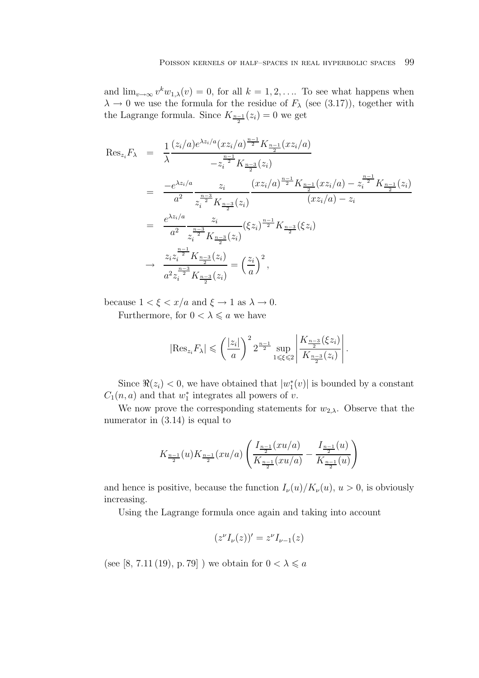and  $\lim_{v\to\infty} v^k w_{1,\lambda}(v) = 0$ , for all  $k = 1, 2, \ldots$  To see what happens when  $\lambda \to 0$  we use the formula for the residue of  $F_{\lambda}$  (see (3.17)), together with the Lagrange formula. Since  $K_{\frac{n-1}{2}}(z_i) = 0$  we get

$$
\operatorname{Res}_{z_i} F_{\lambda} = \frac{1}{\lambda} \frac{(z_i/a)e^{\lambda z_i/a} (xz_i/a)^{\frac{n-1}{2}} K_{\frac{n-1}{2}}(xz_i/a)}{-z_i^{\frac{n-1}{2}} K_{\frac{n-3}{2}}(z_i)}
$$
\n
$$
= \frac{-e^{\lambda z_i/a}}{a^2} \frac{z_i}{z_i^{\frac{n-3}{2}} K_{\frac{n-3}{2}}(z_i)} \frac{(xz_i/a)^{\frac{n-1}{2}} K_{\frac{n-1}{2}}(xz_i/a) - z_i^{\frac{n-1}{2}} K_{\frac{n-1}{2}}(z_i)}{(xz_i/a) - z_i}
$$
\n
$$
= \frac{e^{\lambda z_i/a}}{a^2} \frac{z_i}{z_i^{\frac{n-3}{2}} K_{\frac{n-3}{2}}(z_i)} (\xi z_i)^{\frac{n-1}{2}} K_{\frac{n-3}{2}}(\xi z_i)
$$
\n
$$
\rightarrow \frac{z_i z_i^{\frac{n-1}{2}} K_{\frac{n-3}{2}}(z_i)}{a^2 z_i^{\frac{n-3}{2}} K_{\frac{n-3}{2}}(z_i)} = \left(\frac{z_i}{a}\right)^2,
$$

because  $1 < \xi < x/a$  and  $\xi \to 1$  as  $\lambda \to 0$ .

Furthermore, for  $0 < \lambda \leq a$  we have

$$
|\text{Res}_{z_i} F_{\lambda}| \leqslant \left(\frac{|z_i|}{a}\right)^2 2^{\frac{n-1}{2}} \sup_{1 \leqslant \xi \leqslant 2} \left| \frac{K_{\frac{n-3}{2}}(\xi z_i)}{K_{\frac{n-3}{2}}(z_i)} \right|.
$$

Since  $\Re(z_i) < 0$ , we have obtained that  $|w_1^*(v)|$  is bounded by a constant  $C_1(n, a)$  and that  $w_1^*$  integrates all powers of v.

We now prove the corresponding statements for  $w_{2,\lambda}$ . Observe that the numerator in  $(3.14)$  is equal to

$$
K_{\frac{n-1}{2}}(u)K_{\frac{n-1}{2}}(xu/a)\left(\frac{I_{\frac{n-1}{2}}(xu/a)}{K_{\frac{n-1}{2}}(xu/a)}-\frac{I_{\frac{n-1}{2}}(u)}{K_{\frac{n-1}{2}}(u)}\right)
$$

and hence is positive, because the function  $I_{\nu}(u)/K_{\nu}(u)$ ,  $u > 0$ , is obviously increasing.

Using the Lagrange formula once again and taking into account

$$
(z^{\nu}I_{\nu}(z))'=z^{\nu}I_{\nu-1}(z)
$$

(see [8, 7.11 (19), p. 79] ) we obtain for  $0<\lambda\leqslant a$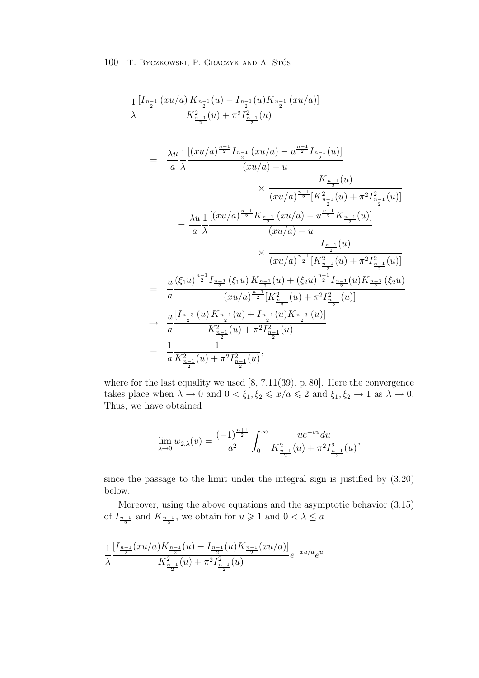$$
\frac{1}{\lambda} \frac{\left[I_{\frac{n-1}{2}}(xu/a)K_{\frac{n-1}{2}}(u) - I_{\frac{n-1}{2}}(u)K_{\frac{n-1}{2}}(xu/a)\right]}{K_{\frac{n-1}{2}}^2(u) + \pi^2 I_{\frac{n-1}{2}}^2(u)} \n= \frac{\lambda u}{a} \frac{1}{\lambda} \frac{\left[(xu/a)^{\frac{n-1}{2}}I_{\frac{n-1}{2}}(xu/a) - u^{\frac{n-1}{2}}I_{\frac{n-1}{2}}(u)\right]}{(xu/a) - u} \n\qquad \times \frac{K_{\frac{n-1}{2}}(u)}{(xu/a)^{\frac{n-1}{2}}[K_{\frac{n-1}{2}}^2(u) + \pi^2 I_{\frac{n-1}{2}}^2(u)]} \n- \frac{\lambda u}{a} \frac{1}{\lambda} \frac{\left[(xu/a)^{\frac{n-1}{2}}K_{\frac{n-1}{2}}(xu/a) - u^{\frac{n-1}{2}}K_{\frac{n-1}{2}}(u)\right]}{(xu/a) - u} \n\qquad \times \frac{I_{\frac{n-1}{2}}(u)}{(xu/a)^{\frac{n-1}{2}}[K_{\frac{n-1}{2}}^2(u) + \pi^2 I_{\frac{n-1}{2}}^2(u)]} \n= \frac{u}{a} \frac{(\xi_1 u)^{\frac{n-1}{2}}I_{\frac{n-3}{2}}(\xi_1 u)K_{\frac{n-1}{2}}(u) + (\xi_2 u)^{\frac{n-1}{2}}I_{\frac{n-1}{2}}(u)K_{\frac{n-3}{2}}(\xi_2 u)}{(xu/a)^{\frac{n-1}{2}}[K_{\frac{n-1}{2}}^2(u) + \pi^2 I_{\frac{n-1}{2}}^2(u)]} \n\to \frac{u}{a} \frac{[I_{\frac{n-3}{2}}(u)K_{\frac{n-1}{2}}(u) + I_{\frac{n-1}{2}}(u)K_{\frac{n-3}{2}}(u)]} {K_{\frac{n-1}{2}}^2(u) + \pi^2 I_{\frac{n-1}{2}}^2(u)} \n= \frac{1}{a} \frac{1}{K_{\frac{n-1}{2}}^2(u) + \pi^2 I_{\frac{n-1}{2}}^2(u)},
$$

where for the last equality we used [8, 7.11(39), p. 80]. Here the convergence takes place when  $\lambda \to 0$  and  $0 < \xi_1, \xi_2 \leq \frac{x}{a} \leq 2$  and  $\xi_1, \xi_2 \to 1$  as  $\lambda \to 0$ . Thus, we have obtained

$$
\lim_{\lambda \to 0} w_{2,\lambda}(v) = \frac{(-1)^{\frac{n+1}{2}}}{a^2} \int_0^\infty \frac{u e^{-vu} du}{K_{\frac{n-1}{2}}^2(u) + \pi^2 I_{\frac{n-1}{2}}^2(u)},
$$

since the passage to the limit under the integral sign is justified by (3.20) below.

Moreover, using the above equations and the asymptotic behavior (3.15) of  $I_{\frac{n-1}{2}}$  and  $K_{\frac{n-1}{2}}$ , we obtain for  $u \geq 1$  and  $0 < \lambda \leq a$ 

$$
\frac{1}{\lambda} \frac{\left[I_{\frac{n-1}{2}}(xu/a)K_{\frac{n-1}{2}}(u) - I_{\frac{n-1}{2}}(u)K_{\frac{n-1}{2}}(xu/a)\right]}{K_{\frac{n-1}{2}}^2(u) + \pi^2 I_{\frac{n-1}{2}}^2(u)} e^{-xu/a}e^u
$$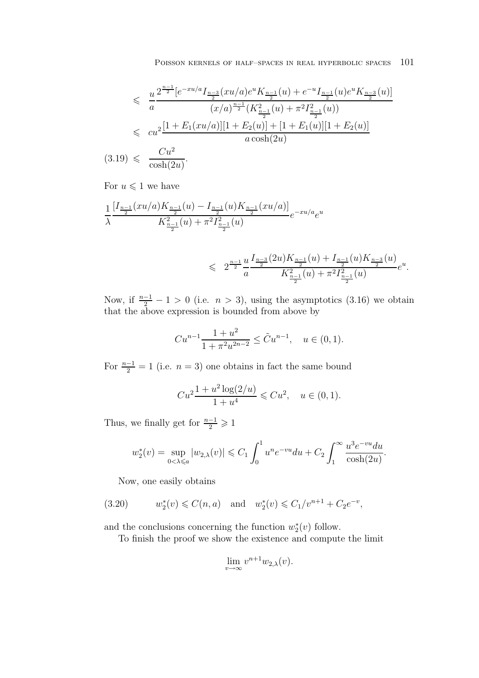$$
\leqslant \frac{u}{a} \frac{2^{\frac{n-1}{2}} [e^{-xu/a} I_{\frac{n-3}{2}}(xu/a) e^u K_{\frac{n-1}{2}}(u) + e^{-u} I_{\frac{n-1}{2}}(u) e^u K_{\frac{n-3}{2}}(u)]}{(x/a)^{\frac{n-1}{2}} (K_{\frac{n-1}{2}}^2(u) + \pi^2 I_{\frac{n-1}{2}}^2(u))}
$$
  

$$
\leqslant c u^2 \frac{[1 + E_1(xu/a)][1 + E_2(u)] + [1 + E_1(u)][1 + E_2(u)]}{a \cosh(2u)}
$$
  
9) 
$$
\leqslant \frac{Cu^2}{\cosh(2u)}.
$$

$$
(3.19) \leqslant \frac{0}{\cosh(2u)}.
$$

For  $u\leqslant 1$  we have

$$
\frac{1}{\lambda} \frac{\left[I_{\frac{n-1}{2}}(xu/a)K_{\frac{n-1}{2}}(u) - I_{\frac{n-1}{2}}(u)K_{\frac{n-1}{2}}(xu/a)\right]}{K_{\frac{n-1}{2}}^2(u) + \pi^2 I_{\frac{n-1}{2}}^2(u)} e^{-xu/a}e^u
$$

$$
\leqslant 2^{\frac{n-1}{2}} \frac{u}{a} \frac{I_{\frac{n-3}{2}}(2u) K_{\frac{n-1}{2}}(u) + I_{\frac{n-1}{2}}(u) K_{\frac{n-3}{2}}(u)}{K_{\frac{n-1}{2}}^2(u) + \pi^2 I_{\frac{n-1}{2}}^2(u)} e^u.
$$

Now, if  $\frac{n-1}{2} - 1 > 0$  (i.e.  $n > 3$ ), using the asymptotics (3.16) we obtain that the above expression is bounded from above by

$$
Cu^{n-1}\frac{1+u^2}{1+\pi^2u^{2n-2}} \le \tilde{C}u^{n-1}, \quad u \in (0,1).
$$

For  $\frac{n-1}{2} = 1$  (i.e.  $n = 3$ ) one obtains in fact the same bound

$$
Cu^{2} \frac{1+u^{2} \log(2/u)}{1+u^{4}} \leqslant Cu^{2}, \quad u \in (0,1).
$$

Thus, we finally get for  $\frac{n-1}{2} \geq 1$ 

$$
w_2^*(v) = \sup_{0 < \lambda \leq a} |w_{2,\lambda}(v)| \leq C_1 \int_0^1 u^n e^{-vu} du + C_2 \int_1^\infty \frac{u^3 e^{-vu} du}{\cosh(2u)}.
$$

Now, one easily obtains

(3.20) 
$$
w_2^*(v) \leq C(n, a)
$$
 and  $w_2^*(v) \leq C_1/v^{n+1} + C_2e^{-v}$ ,

and the conclusions concerning the function  $w_2^*(v)$  follow.

To finish the proof we show the existence and compute the limit

$$
\lim_{v \to \infty} v^{n+1} w_{2,\lambda}(v).
$$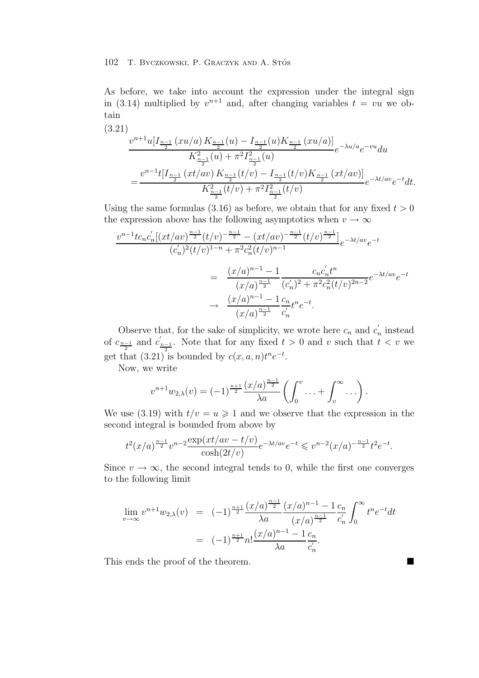As before, we take into account the expression under the integral sign in (3.14) multiplied by  $v^{n+1}$  and, after changing variables  $t = vu$  we obtain

$$
(3.21)
$$
\n
$$
\frac{v^{n+1}u[I_{\frac{n-1}{2}}(xu/a)K_{\frac{n-1}{2}}(u) - I_{\frac{n-1}{2}}(u)K_{\frac{n-1}{2}}(xu/a)]}{K_{\frac{n-1}{2}}^2(u) + \pi^2 I_{\frac{n-1}{2}}^2(u)}e^{-\lambda u/a}e^{-vu}du
$$
\n
$$
= \frac{v^{n-1}t[I_{\frac{n-1}{2}}(xt/av)K_{\frac{n-1}{2}}(t/v) - I_{\frac{n-1}{2}}(t/v)K_{\frac{n-1}{2}}(xt/av)]}{K_{\frac{n-1}{2}}^2(t/v) + \pi^2 I_{\frac{n-1}{2}}^2(t/v)}
$$
\n
$$
e^{-\lambda t/av}e^{-t}dt.
$$

Using the same formulas  $(3.16)$  as before, we obtain that for any fixed  $t > 0$ the expression above has the following asymptotics when  $v \to \infty$ 

$$
\frac{v^{n-1}tc_n c'_n[(xt/av)^{\frac{n-1}{2}}(t/v)^{-\frac{n-1}{2}} - (xt/av)^{-\frac{n-1}{2}}(t/v)^{\frac{n-1}{2}}]}{(c'_n)^2(t/v)^{1-n} + \pi^2 c_n^2(t/v)^{n-1}}e^{-\lambda t/av}e^{-t}
$$
\n
$$
= \frac{(x/a)^{n-1} - 1}{(x/a)^{\frac{n-1}{2}}} \frac{c_n c'_n t^n}{(c'_n)^2 + \pi^2 c_n^2(t/v)^{2n-2}}e^{-\lambda t/av}e^{-t}
$$
\n
$$
\to \frac{(x/a)^{n-1} - 1}{(x/a)^{\frac{n-1}{2}}} \frac{c_n}{c'_n}t^n e^{-t}.
$$

Observe that, for the sake of simplicity, we wrote here  $c_n$  and  $c'_n$  instead of  $c_{\frac{n-1}{2}}$  and  $c'_{\frac{n-1}{2}}$ . Note that for any fixed  $t > 0$  and v such that  $t < v$  we get that  $(3.21)$  is bounded by  $c(x, a, n)t^{n}e^{-t}$ .

Now, we write

$$
v^{n+1}w_{2,\lambda}(v) = (-1)^{\frac{n+1}{2}} \frac{(x/a)^{\frac{n-1}{2}}}{\lambda a} \left( \int_0^v \ldots + \int_v^\infty \ldots \right).
$$

We use (3.19) with  $t/v = u \ge 1$  and we observe that the expression in the second integral is bounded from above by

$$
t^{2}(x/a)^{\frac{n-1}{2}}v^{n-2}\frac{\exp(xt/av-t/v)}{\cosh(2t/v)}e^{-\lambda t/av}e^{-t}\leqslant v^{n-2}(x/a)^{-\frac{n-1}{2}}t^{2}e^{-t}.
$$

Since  $v \to \infty$ , the second integral tends to 0, while the first one converges to the following limit

$$
\lim_{v \to \infty} v^{n+1} w_{2,\lambda}(v) = (-1)^{\frac{n+1}{2}} \frac{(x/a)^{\frac{n-1}{2}}}{\lambda a} \frac{(x/a)^{n-1} - 1}{(x/a)^{\frac{n-1}{2}}} \frac{c_n}{c'_n} \int_0^\infty t^n e^{-t} dt
$$

$$
= (-1)^{\frac{n+1}{2}} n! \frac{(x/a)^{n-1} - 1}{\lambda a} \frac{c_n}{c'_n}.
$$

This ends the proof of the theorem.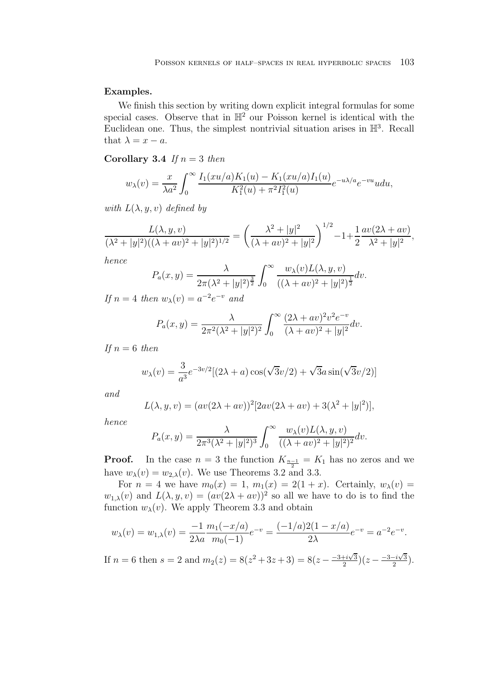## **Examples.**

We finish this section by writing down explicit integral formulas for some special cases. Observe that in  $\mathbb{H}^2$  our Poisson kernel is identical with the Euclidean one. Thus, the simplest nontrivial situation arises in  $\mathbb{H}^3$ . Recall that  $\lambda = x - a$ .

**Corollary 3.4** *If*  $n = 3$  *then* 

$$
w_{\lambda}(v) = \frac{x}{\lambda a^2} \int_0^{\infty} \frac{I_1(xu/a)K_1(u) - K_1(xu/a)I_1(u)}{K_1^2(u) + \pi^2 I_1^2(u)} e^{-u\lambda/a} e^{-vu} u du,
$$

*with*  $L(\lambda, y, v)$  *defined by* 

$$
\frac{L(\lambda, y, v)}{(\lambda^2 + |y|^2)((\lambda + av)^2 + |y|^2)^{1/2}} = \left(\frac{\lambda^2 + |y|^2}{(\lambda + av)^2 + |y|^2}\right)^{1/2} - 1 + \frac{1}{2}\frac{av(2\lambda + av)}{\lambda^2 + |y|^2},
$$

*hence*

$$
P_a(x,y) = \frac{\lambda}{2\pi(\lambda^2 + |y|^2)^{\frac{3}{2}}} \int_0^\infty \frac{w_\lambda(v)L(\lambda, y, v)}{((\lambda + av)^2 + |y|^2)^{\frac{1}{2}}} dv.
$$

*If*  $n = 4$  *then*  $w_{\lambda}(v) = a^{-2}e^{-v}$  *and* 

$$
P_a(x,y) = \frac{\lambda}{2\pi^2(\lambda^2 + |y|^2)^2} \int_0^\infty \frac{(2\lambda + av)^2 v^2 e^{-v}}{(\lambda + av)^2 + |y|^2} dv.
$$

*If*  $n = 6$  *then* 

$$
w_{\lambda}(v) = \frac{3}{a^3} e^{-3v/2} [(2\lambda + a)\cos(\sqrt{3}v/2) + \sqrt{3}a\sin(\sqrt{3}v/2)]
$$

*and*

$$
L(\lambda, y, v) = (av(2\lambda + av))^2 [2av(2\lambda + av) + 3(\lambda^2 + |y|^2)],
$$

*hence*

$$
P_a(x,y) = \frac{\lambda}{2\pi^3(\lambda^2 + |y|^2)^3} \int_0^\infty \frac{w_\lambda(v)L(\lambda, y, v)}{((\lambda + av)^2 + |y|^2)^2} dv.
$$

**Proof.** In the case  $n = 3$  the function  $K_{\frac{n-1}{2}} = K_1$  has no zeros and we have  $w_{\lambda}(v) = w_{2,\lambda}(v)$ . We use Theorems 3.2 and 3.3.

For  $n = 4$  we have  $m_0(x) = 1$ ,  $m_1(x) = 2(1+x)$ . Certainly,  $w_\lambda(v) =$  $w_{1,\lambda}(v)$  and  $L(\lambda, y, v)=(av(2\lambda + av))^2$  so all we have to do is to find the function  $w_{\lambda}(v)$ . We apply Theorem 3.3 and obtain

$$
w_{\lambda}(v) = w_{1,\lambda}(v) = \frac{-1}{2\lambda a} \frac{m_1(-x/a)}{m_0(-1)} e^{-v} = \frac{(-1/a)2(1-x/a)}{2\lambda} e^{-v} = a^{-2} e^{-v}.
$$

If  $n = 6$  then  $s = 2$  and  $m_2(z) = 8(z^2 + 3z + 3) = 8(z - \frac{-3 + i\sqrt{3}}{2})(z - \frac{-3 - i\sqrt{3}}{2})$  $\frac{-i\sqrt{3}}{2}$ ).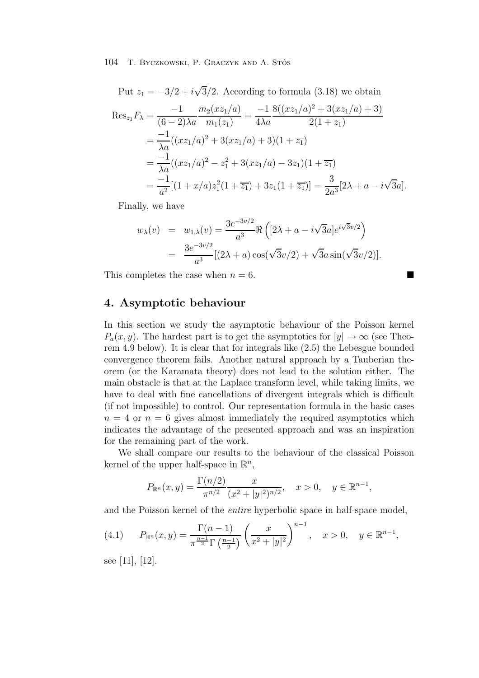Put  $z_1 = -3/2 + i\sqrt{3}/2$ . According to formula (3.18) we obtain

$$
\operatorname{Res}_{z_1} F_{\lambda} = \frac{-1}{(6-2)\lambda a} \frac{m_2(z_1/a)}{m_1(z_1)} = \frac{-1}{4\lambda a} \frac{8((xz_1/a)^2 + 3(xz_1/a) + 3)}{2(1+z_1)}
$$
  
= 
$$
\frac{-1}{\lambda a} ((xz_1/a)^2 + 3(xz_1/a) + 3)(1 + \overline{z_1})
$$
  
= 
$$
\frac{-1}{\lambda a} ((xz_1/a)^2 - z_1^2 + 3(xz_1/a) - 3z_1)(1 + \overline{z_1})
$$
  
= 
$$
\frac{-1}{a^2} [(1 + x/a)z_1^2(1 + \overline{z_1}) + 3z_1(1 + \overline{z_1})] = \frac{3}{2a^3} [2\lambda + a - i\sqrt{3}a].
$$

Finally, we have

$$
w_{\lambda}(v) = w_{1,\lambda}(v) = \frac{3e^{-3v/2}}{a^3} \Re\left( [2\lambda + a - i\sqrt{3}a] e^{i\sqrt{3}v/2} \right)
$$
  
= 
$$
\frac{3e^{-3v/2}}{a^3} [(2\lambda + a)\cos(\sqrt{3}v/2) + \sqrt{3}a\sin(\sqrt{3}v/2)].
$$

This completes the case when  $n = 6$ .

# **4. Asymptotic behaviour**

In this section we study the asymptotic behaviour of the Poisson kernel  $P_a(x, y)$ . The hardest part is to get the asymptotics for  $|y| \to \infty$  (see Theorem 4.9 below). It is clear that for integrals like (2.5) the Lebesgue bounded convergence theorem fails. Another natural approach by a Tauberian theorem (or the Karamata theory) does not lead to the solution either. The main obstacle is that at the Laplace transform level, while taking limits, we have to deal with fine cancellations of divergent integrals which is difficult (if not impossible) to control. Our representation formula in the basic cases  $n = 4$  or  $n = 6$  gives almost immediately the required asymptotics which indicates the advantage of the presented approach and was an inspiration for the remaining part of the work.

We shall compare our results to the behaviour of the classical Poisson kernel of the upper half-space in  $\mathbb{R}^n$ ,

$$
P_{\mathbb{R}^n}(x,y) = \frac{\Gamma(n/2)}{\pi^{n/2}} \frac{x}{(x^2+|y|^2)^{n/2}}, \quad x > 0, \quad y \in \mathbb{R}^{n-1},
$$

and the Poisson kernel of the *entire* hyperbolic space in half-space model,

(4.1) 
$$
P_{\mathbb{H}^n}(x,y) = \frac{\Gamma(n-1)}{\pi^{\frac{n-1}{2}}\Gamma(\frac{n-1}{2})} \left(\frac{x}{x^2+|y|^2}\right)^{n-1}, \quad x > 0, \quad y \in \mathbb{R}^{n-1},
$$

see [11], [12].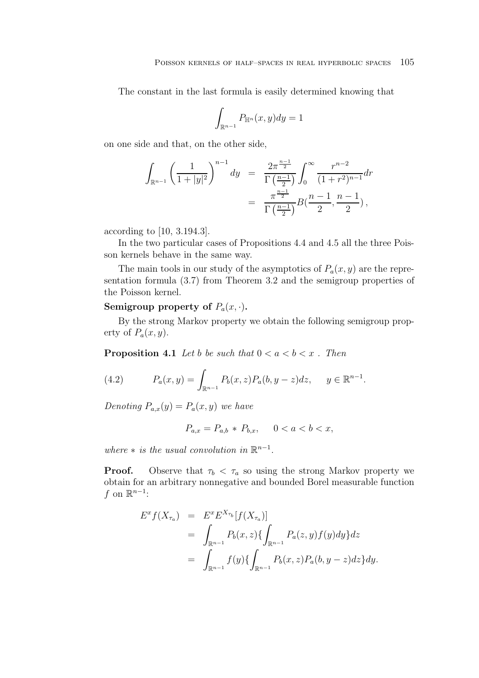The constant in the last formula is easily determined knowing that

$$
\int_{\mathbb{R}^{n-1}} P_{\mathbb{H}^n}(x, y) dy = 1
$$

on one side and that, on the other side,

$$
\int_{\mathbb{R}^{n-1}} \left(\frac{1}{1+|y|^2}\right)^{n-1} dy = \frac{2\pi^{\frac{n-1}{2}}}{\Gamma(\frac{n-1}{2})} \int_0^\infty \frac{r^{n-2}}{(1+r^2)^{n-1}} dr
$$

$$
= \frac{\pi^{\frac{n-1}{2}}}{\Gamma(\frac{n-1}{2})} B(\frac{n-1}{2}, \frac{n-1}{2}),
$$

according to [10, 3.194.3].

In the two particular cases of Propositions 4.4 and 4.5 all the three Poisson kernels behave in the same way.

The main tools in our study of the asymptotics of  $P_a(x, y)$  are the representation formula (3.7) from Theorem 3.2 and the semigroup properties of the Poisson kernel.

## **Semigroup property of**  $P_a(x, \cdot)$ .

By the strong Markov property we obtain the following semigroup property of  $P_a(x, y)$ .

**Proposition 4.1** *Let* b be such that  $0 < a < b < x$ . Then

(4.2) 
$$
P_a(x,y) = \int_{\mathbb{R}^{n-1}} P_b(x,z) P_a(b,y-z) dz, \quad y \in \mathbb{R}^{n-1}.
$$

*Denoting*  $P_{a,x}(y) = P_a(x, y)$  *we have* 

$$
P_{a,x} = P_{a,b} * P_{b,x}, \quad 0 < a < b < x,
$$

*where*  $*$  *is the usual convolution in*  $\mathbb{R}^{n-1}$ *.* 

**Proof.** Observe that  $\tau_b < \tau_a$  so using the strong Markov property we obtain for an arbitrary nonnegative and bounded Borel measurable function f on  $\mathbb{R}^{n-1}$ :

$$
E^x f(X_{\tau_a}) = E^x E^{X_{\tau_b}} [f(X_{\tau_a})]
$$
  
= 
$$
\int_{\mathbb{R}^{n-1}} P_b(x, z) \{ \int_{\mathbb{R}^{n-1}} P_a(z, y) f(y) dy \} dz
$$
  
= 
$$
\int_{\mathbb{R}^{n-1}} f(y) \{ \int_{\mathbb{R}^{n-1}} P_b(x, z) P_a(b, y - z) dz \} dy.
$$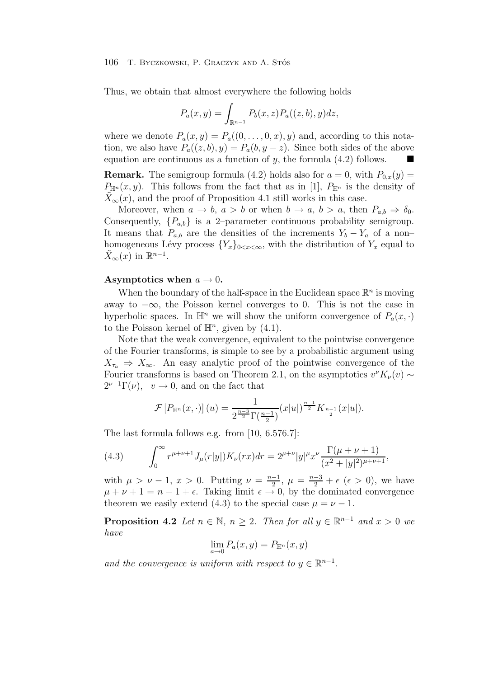Thus, we obtain that almost everywhere the following holds

$$
P_a(x, y) = \int_{\mathbb{R}^{n-1}} P_b(x, z) P_a((z, b), y) dz,
$$

where we denote  $P_a(x, y) = P_a((0, \ldots, 0, x), y)$  and, according to this notation, we also have  $P_a((z, b), y) = P_a(b, y - z)$ . Since both sides of the above equation are continuous as a function of y, the formula  $(4.2)$  follows.

**Remark.** The semigroup formula (4.2) holds also for  $a = 0$ , with  $P_{0,x}(y) =$  $P_{\mathbb{H}^n}(x, y)$ . This follows from the fact that as in [1],  $P_{\mathbb{H}^n}$  is the density of  $\widetilde{X}_{\infty}(x)$ , and the proof of Proposition 4.1 still works in this case.

Moreover, when  $a \to b$ ,  $a > b$  or when  $b \to a$ ,  $b > a$ , then  $P_{a,b} \Rightarrow \delta_0$ . Consequently,  $\{P_{a,b}\}\$ is a 2-parameter continuous probability semigroup. It means that  $P_{a,b}$  are the densities of the increments  $Y_b - Y_a$  of a non– homogeneous Lévy process  ${Y_x}_{0 \le x \le \infty}$ , with the distribution of  $Y_x$  equal to  $X_{\infty}(x)$  in  $\mathbb{R}^{n-1}$ .

## **Asymptotics when**  $a \rightarrow 0$ .

When the boundary of the half-space in the Euclidean space  $\mathbb{R}^n$  is moving away to  $-\infty$ , the Poisson kernel converges to 0. This is not the case in hyperbolic spaces. In  $\mathbb{H}^n$  we will show the uniform convergence of  $P_a(x, \cdot)$ to the Poisson kernel of  $\mathbb{H}^n$ , given by (4.1).

Note that the weak convergence, equivalent to the pointwise convergence of the Fourier transforms, is simple to see by a probabilistic argument using  $X_{\tau_a} \Rightarrow X_{\infty}$ . An easy analytic proof of the pointwise convergence of the Fourier transforms is based on Theorem 2.1, on the asymptotics  $v^{\nu}K_{\nu}(v) \sim$  $2^{\nu-1}\Gamma(\nu)$ ,  $v \to 0$ , and on the fact that

$$
\mathcal{F}[P_{\mathbb{H}^n}(x,\cdot)](u) = \frac{1}{2^{\frac{n-3}{2}}\Gamma(\frac{n-1}{2})}(x|u|)^{\frac{n-1}{2}}K_{\frac{n-1}{2}}(x|u|).
$$

The last formula follows e.g. from [10, 6.576.7]:

(4.3) 
$$
\int_0^\infty r^{\mu+\nu+1} J_\mu(r|y|) K_\nu(rx) dr = 2^{\mu+\nu} |y|^\mu x^\nu \frac{\Gamma(\mu+\nu+1)}{(x^2+|y|^2)^{\mu+\nu+1}},
$$

with  $\mu > \nu - 1$ ,  $x > 0$ . Putting  $\nu = \frac{n-1}{2}$ ,  $\mu = \frac{n-3}{2} + \epsilon$  ( $\epsilon > 0$ ), we have  $\mu + \nu + 1 = n - 1 + \epsilon$ . Taking limit  $\epsilon \rightarrow 0$ , by the dominated convergence theorem we easily extend (4.3) to the special case  $\mu = \nu - 1$ .

**Proposition 4.2** *Let*  $n \in \mathbb{N}$ ,  $n \geq 2$ *. Then for all*  $y \in \mathbb{R}^{n-1}$  *and*  $x > 0$  *we have*

$$
\lim_{a \to 0} P_a(x, y) = P_{\mathbb{H}^n}(x, y)
$$

*and the convergence is uniform with respect to*  $y \in \mathbb{R}^{n-1}$ .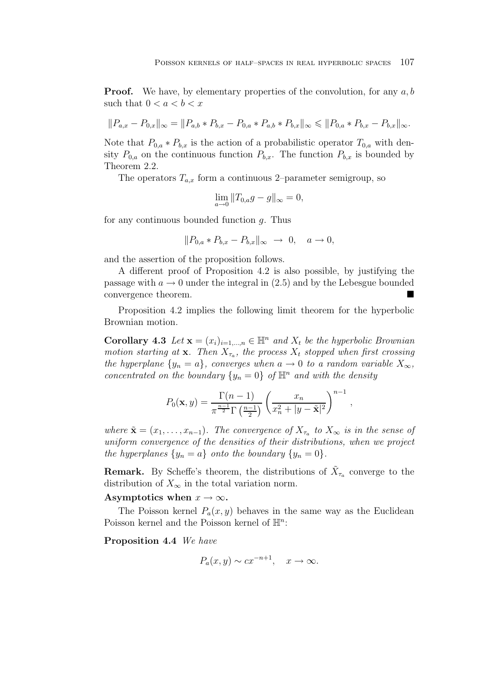**Proof.** We have, by elementary properties of the convolution, for any  $a, b$ such that  $0 < a < b < x$ 

$$
||P_{a,x} - P_{0,x}||_{\infty} = ||P_{a,b} * P_{b,x} - P_{0,a} * P_{a,b} * P_{b,x}||_{\infty} \le ||P_{0,a} * P_{b,x} - P_{b,x}||_{\infty}.
$$

Note that  $P_{0,a} * P_{b,x}$  is the action of a probabilistic operator  $T_{0,a}$  with density  $P_{0,a}$  on the continuous function  $P_{b,x}$ . The function  $P_{b,x}$  is bounded by Theorem 2.2.

The operators  $T_{a,x}$  form a continuous 2–parameter semigroup, so

$$
\lim_{a \to 0} ||T_{0,a}g - g||_{\infty} = 0,
$$

for any continuous bounded function  $q$ . Thus

$$
||P_{0,a} * P_{b,x} - P_{b,x}||_{\infty} \to 0, \quad a \to 0,
$$

and the assertion of the proposition follows.

A different proof of Proposition 4.2 is also possible, by justifying the passage with  $a \to 0$  under the integral in (2.5) and by the Lebesgue bounded convergence theorem.

Proposition 4.2 implies the following limit theorem for the hyperbolic Brownian motion.

**Corollary 4.3** *Let*  $\mathbf{x} = (x_i)_{i=1,\dots,n} \in \mathbb{H}^n$  *and*  $X_t$  *be the hyperbolic Brownian motion starting at* **x***. Then*  $X_{\tau_a}$ *, the process*  $X_t$  *stopped when first crossing the hyperplane*  $\{y_n = a\}$ *, converges when*  $a \to 0$  *to a random variable*  $X_{\infty}$ *, concentrated on the boundary*  $\{y_n = 0\}$  *of*  $\mathbb{H}^n$  *and with the density* 

$$
P_0(\mathbf{x}, y) = \frac{\Gamma(n-1)}{\pi^{\frac{n-1}{2}} \Gamma(\frac{n-1}{2})} \left(\frac{x_n}{x_n^2 + |y - \tilde{\mathbf{x}}|^2}\right)^{n-1},
$$

*where*  $\tilde{\mathbf{x}} = (x_1, \ldots, x_{n-1})$ *. The convergence of*  $X_{\tau_n}$  *to*  $X_{\infty}$  *is in the sense of uniform convergence of the densities of their distributions, when we project the hyperplanes*  $\{y_n = a\}$  *onto the boundary*  $\{y_n = 0\}$ *.* 

**Remark.** By Scheffe's theorem, the distributions of  $\bar{X}_{\tau_a}$  converge to the distribution of  $X_{\infty}$  in the total variation norm.

#### Asymptotics when  $x \to \infty$ .

The Poisson kernel  $P_a(x, y)$  behaves in the same way as the Euclidean Poisson kernel and the Poisson kernel of  $\mathbb{H}^n$ :

**Proposition 4.4** *We have*

$$
P_a(x, y) \sim cx^{-n+1}, \quad x \to \infty.
$$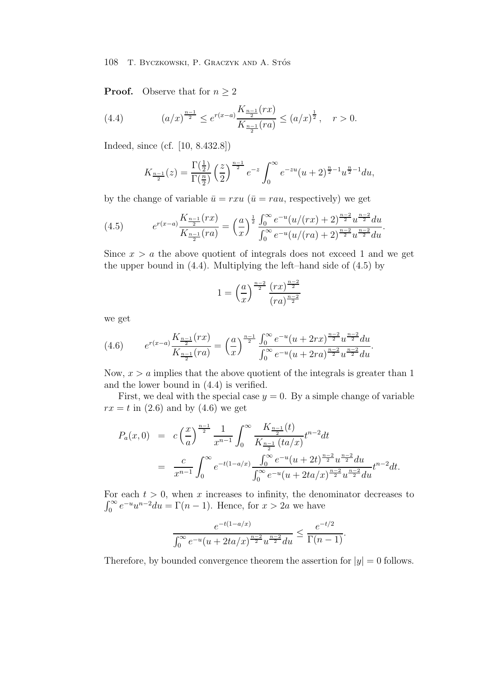**Proof.** Observe that for  $n \geq 2$ 

(4.4) 
$$
(a/x)^{\frac{n-1}{2}} \le e^{r(x-a)} \frac{K_{\frac{n-1}{2}}(rx)}{K_{\frac{n-1}{2}}(ra)} \le (a/x)^{\frac{1}{2}}, \quad r > 0.
$$

Indeed, since (cf. [10, 8.432.8])

$$
K_{\frac{n-1}{2}}(z) = \frac{\Gamma(\frac{1}{2})}{\Gamma(\frac{n}{2})} \left(\frac{z}{2}\right)^{\frac{n-1}{2}} e^{-z} \int_0^\infty e^{-zu} (u+2)^{\frac{n}{2}-1} u^{\frac{n}{2}-1} du,
$$

by the change of variable  $\bar{u} = rxu$  ( $\bar{u} = rau$ , respectively) we get

(4.5) 
$$
e^{r(x-a)} \frac{K_{\frac{n-1}{2}}(rx)}{K_{\frac{n-1}{2}}(ra)} = \left(\frac{a}{x}\right)^{\frac{1}{2}} \frac{\int_0^\infty e^{-u} (u/(rx) + 2)^{\frac{n-2}{2}} u^{\frac{n-2}{2}} du}{\int_0^\infty e^{-u} (u/(ra) + 2)^{\frac{n-2}{2}} u^{\frac{n-2}{2}} du}.
$$

Since  $x > a$  the above quotient of integrals does not exceed 1 and we get the upper bound in (4.4). Multiplying the left–hand side of (4.5) by

$$
1 = \left(\frac{a}{x}\right)^{\frac{n-2}{2}} \frac{(rx)^{\frac{n-2}{2}}}{(ra)^{\frac{n-2}{2}}}
$$

we get

$$
(4.6) \qquad e^{r(x-a)} \frac{K_{\frac{n-1}{2}}(rx)}{K_{\frac{n-1}{2}}(ra)} = \left(\frac{a}{x}\right)^{\frac{n-1}{2}} \frac{\int_0^\infty e^{-u}(u+2rx)^{\frac{n-2}{2}} u^{\frac{n-2}{2}} du}{\int_0^\infty e^{-u}(u+2ra)^{\frac{n-2}{2}} u^{\frac{n-2}{2}} du}.
$$

Now,  $x > a$  implies that the above quotient of the integrals is greater than 1 and the lower bound in (4.4) is verified.

First, we deal with the special case  $y = 0$ . By a simple change of variable  $rx = t$  in (2.6) and by (4.6) we get

$$
P_a(x,0) = c\left(\frac{x}{a}\right)^{\frac{n-1}{2}} \frac{1}{x^{n-1}} \int_0^\infty \frac{K_{\frac{n-1}{2}}(t)}{K_{\frac{n-1}{2}}(ta/x)} t^{n-2} dt
$$
  
= 
$$
\frac{c}{x^{n-1}} \int_0^\infty e^{-t(1-a/x)} \frac{\int_0^\infty e^{-u}(u+2t)^{\frac{n-2}{2}} u^{\frac{n-2}{2}} du}{\int_0^\infty e^{-u}(u+2ta/x)^{\frac{n-2}{2}} u^{\frac{n-2}{2}} du} t^{n-2} dt.
$$

For each  $t > 0$ , when x increases to infinity, the denominator decreases to  $\int_0^\infty e^{-u}u^{n-2}du = \Gamma(n-1)$ . Hence, for  $x > 2a$  we have

$$
\frac{e^{-t(1-a/x)}}{\int_0^\infty e^{-u}(u+2ta/x)^{\frac{n-2}{2}}u^{\frac{n-2}{2}}du} \le \frac{e^{-t/2}}{\Gamma(n-1)}.
$$

Therefore, by bounded convergence theorem the assertion for  $|y| = 0$  follows.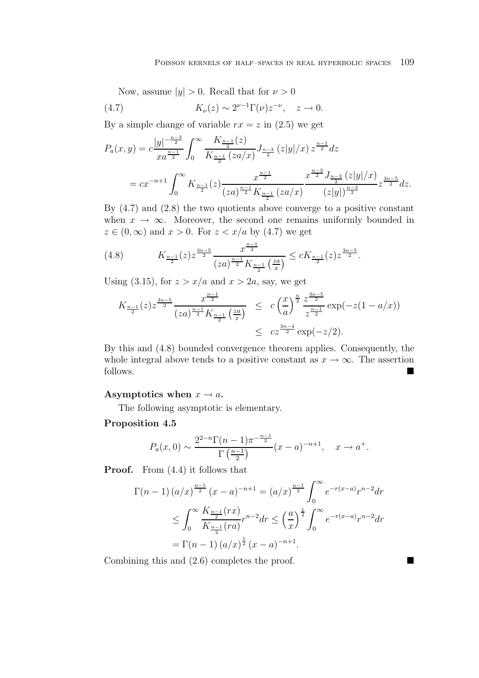Now, assume  $|y| > 0$ . Recall that for  $\nu > 0$ 

(4.7) 
$$
K_{\nu}(z) \sim 2^{\nu-1} \Gamma(\nu) z^{-\nu}, \quad z \to 0.
$$

By a simple change of variable  $rx = z$  in (2.5) we get

$$
P_a(x,y) = c \frac{|y|^{-\frac{n-3}{2}}}{xa^{\frac{n-1}{2}}} \int_0^\infty \frac{K_{\frac{n-1}{2}}(z)}{K_{\frac{n-1}{2}}(za/x)} J_{\frac{n-3}{2}}(z|y|/x) z^{\frac{n-1}{2}} dz
$$
  
=  $cx^{-n+1} \int_0^\infty K_{\frac{n-1}{2}}(z) \frac{x^{\frac{n-1}{2}}}{(za)^{\frac{n-1}{2}} K_{\frac{n-1}{2}}(za/x)} \frac{x^{\frac{n-3}{2}} J_{\frac{n-3}{2}}(z|y|/x)}{(z|y|)^{\frac{n-3}{2}}} z^{\frac{3n-5}{2}} dz.$ 

By (4.7) and (2.8) the two quotients above converge to a positive constant when  $x \to \infty$ . Moreover, the second one remains uniformly bounded in  $z \in (0,\infty)$  and  $x > 0$ . For  $z < x/a$  by (4.7) we get

(4.8) 
$$
K_{\frac{n-1}{2}}(z)z^{\frac{3n-5}{2}}\frac{x^{\frac{n-1}{2}}}{(za)^{\frac{n-1}{2}}K_{\frac{n-1}{2}}\left(\frac{za}{x}\right)} \leq cK_{\frac{n-1}{2}}(z)z^{\frac{3n-5}{2}}.
$$

Using (3.15), for  $z > x/a$  and  $x > 2a$ , say, we get

$$
K_{\frac{n-1}{2}}(z)z^{\frac{3n-5}{2}}\frac{x^{\frac{n-1}{2}}}{(za)^{\frac{n-1}{2}}K_{\frac{n-1}{2}}\left(\frac{za}{x}\right)} \leq c\left(\frac{x}{a}\right)^{\frac{n}{2}}\frac{z^{\frac{3n-5}{2}}}{z^{\frac{n-1}{2}}}\exp(-z(1-a/x))
$$
  

$$
\leq c z^{\frac{3n-4}{2}}\exp(-z/2).
$$

By this and (4.8) bounded convergence theorem applies. Consequently, the whole integral above tends to a positive constant as  $x \to \infty$ . The assertion follows.

## Asymptotics when  $x \to a$ .

The following asymptotic is elementary.

## **Proposition 4.5**

$$
P_a(x,0) \sim \frac{2^{2-n} \Gamma(n-1) \pi^{-\frac{n-1}{2}}}{\Gamma(\frac{n-1}{2})} (x-a)^{-n+1}, \quad x \to a^+.
$$

**Proof.** From  $(4.4)$  it follows that

$$
\Gamma(n-1) (a/x)^{\frac{n-1}{2}} (x-a)^{-n+1} = (a/x)^{\frac{n-1}{2}} \int_0^\infty e^{-r(x-a)} r^{n-2} dr
$$
  
\n
$$
\leq \int_0^\infty \frac{K_{\frac{n-1}{2}}(rx)}{K_{\frac{n-1}{2}}(ra)} r^{n-2} dr \leq \left(\frac{a}{x}\right)^{\frac{1}{2}} \int_0^\infty e^{-r(x-a)} r^{n-2} dr
$$
  
\n
$$
= \Gamma(n-1) (a/x)^{\frac{1}{2}} (x-a)^{-n+1}.
$$

Combining this and  $(2.6)$  completes the proof.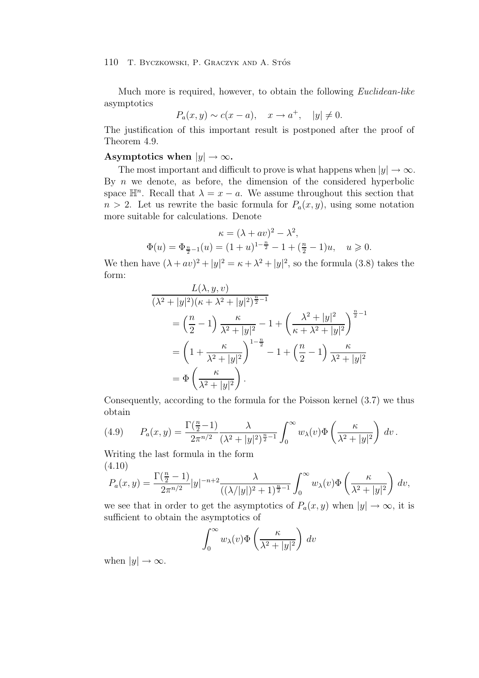Much more is required, however, to obtain the following *Euclidean-like* asymptotics

$$
P_a(x, y) \sim c(x - a), \quad x \to a^+, \quad |y| \neq 0.
$$

The justification of this important result is postponed after the proof of Theorem 4.9.

# **Asymptotics when**  $|y| \to \infty$ .

The most important and difficult to prove is what happens when  $|y| \to \infty$ . By  $n$  we denote, as before, the dimension of the considered hyperbolic space  $\mathbb{H}^n$ . Recall that  $\lambda = x - a$ . We assume throughout this section that  $n > 2$ . Let us rewrite the basic formula for  $P_a(x, y)$ , using some notation more suitable for calculations. Denote

$$
\kappa = (\lambda + av)^2 - \lambda^2,
$$
  
\n
$$
\Phi(u) = \Phi_{\frac{n}{2}-1}(u) = (1+u)^{1-\frac{n}{2}} - 1 + (\frac{n}{2} - 1)u, \quad u \ge 0.
$$

We then have  $(\lambda + av)^2 + |y|^2 = \kappa + \lambda^2 + |y|^2$ , so the formula (3.8) takes the form:

$$
\frac{L(\lambda, y, v)}{(\lambda^2 + |y|^2)(\kappa + \lambda^2 + |y|^2)^{\frac{n}{2} - 1}}
$$
\n
$$
= \left(\frac{n}{2} - 1\right) \frac{\kappa}{\lambda^2 + |y|^2} - 1 + \left(\frac{\lambda^2 + |y|^2}{\kappa + \lambda^2 + |y|^2}\right)^{\frac{n}{2} - 1}
$$
\n
$$
= \left(1 + \frac{\kappa}{\lambda^2 + |y|^2}\right)^{1 - \frac{n}{2}} - 1 + \left(\frac{n}{2} - 1\right) \frac{\kappa}{\lambda^2 + |y|^2}
$$
\n
$$
= \Phi\left(\frac{\kappa}{\lambda^2 + |y|^2}\right).
$$

Consequently, according to the formula for the Poisson kernel (3.7) we thus obtain

(4.9) 
$$
P_a(x,y) = \frac{\Gamma(\frac{n}{2}-1)}{2\pi^{n/2}} \frac{\lambda}{(\lambda^2+|y|^2)^{\frac{n}{2}-1}} \int_0^\infty w_\lambda(v) \Phi\left(\frac{\kappa}{\lambda^2+|y|^2}\right) dv.
$$

Writing the last formula in the form (4.10)

$$
P_a(x,y) = \frac{\Gamma(\frac{n}{2}-1)}{2\pi^{n/2}}|y|^{-n+2}\frac{\lambda}{((\lambda/|y|)^2+1)^{\frac{n}{2}-1}}\int_0^\infty w_\lambda(v)\Phi\left(\frac{\kappa}{\lambda^2+|y|^2}\right)dv,
$$

we see that in order to get the asymptotics of  $P_a(x, y)$  when  $|y| \to \infty$ , it is sufficient to obtain the asymptotics of

$$
\int_0^\infty w_\lambda(v)\Phi\left(\frac{\kappa}{\lambda^2+|y|^2}\right) dv
$$

when  $|y| \to \infty$ .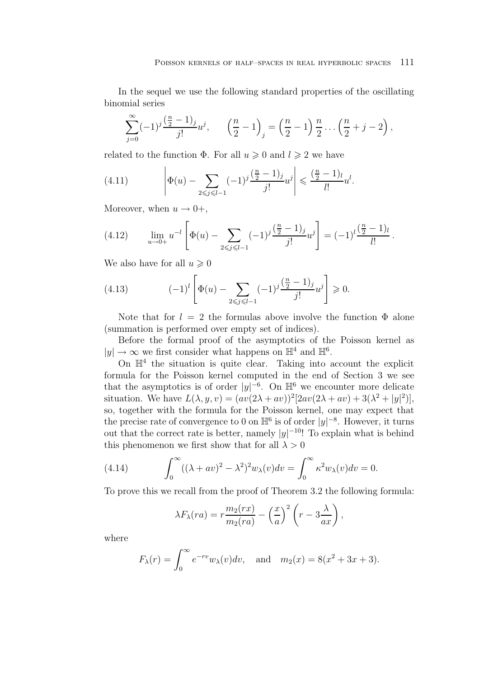In the sequel we use the following standard properties of the oscillating binomial series

$$
\sum_{j=0}^{\infty} (-1)^j \frac{\left(\frac{n}{2} - 1\right)_j}{j!} u^j, \qquad \left(\frac{n}{2} - 1\right)_j = \left(\frac{n}{2} - 1\right) \frac{n}{2} \dots \left(\frac{n}{2} + j - 2\right),
$$

related to the function  $\Phi$ . For all  $u \geq 0$  and  $l \geq 2$  we have

(4.11) 
$$
\left| \Phi(u) - \sum_{2 \le j \le l-1} (-1)^j \frac{\left(\frac{n}{2} - 1\right)_j}{j!} u^j \right| \le \frac{\left(\frac{n}{2} - 1\right)_l}{l!} u^l.
$$

Moreover, when  $u \rightarrow 0^+,$ 

(4.12) 
$$
\lim_{u \to 0+} u^{-l} \left[ \Phi(u) - \sum_{2 \leq j \leq l-1} (-1)^j \frac{\left(\frac{n}{2} - 1\right)j}{j!} u^j \right] = (-1)^l \frac{\left(\frac{n}{2} - 1\right)l}{l!}.
$$

We also have for all  $u \geq 0$ 

(4.13) 
$$
(-1)^{l} \left[ \Phi(u) - \sum_{2 \leq j \leq l-1} (-1)^{j} \frac{\left(\frac{n}{2} - 1\right)_{j}}{j!} u^{j} \right] \geq 0.
$$

Note that for  $l = 2$  the formulas above involve the function  $\Phi$  alone (summation is performed over empty set of indices).

Before the formal proof of the asymptotics of the Poisson kernel as  $|y| \to \infty$  we first consider what happens on  $\mathbb{H}^4$  and  $\mathbb{H}^6$ .

On  $\mathbb{H}^4$  the situation is quite clear. Taking into account the explicit formula for the Poisson kernel computed in the end of Section 3 we see that the asymptotics is of order  $|y|^{-6}$ . On  $\mathbb{H}^6$  we encounter more delicate situation. We have  $L(\lambda, y, v) = (av(2\lambda + av))^2[2av(2\lambda + av) + 3(\lambda^2 + |y|^2)],$ so, together with the formula for the Poisson kernel, one may expect that the precise rate of convergence to 0 on  $\mathbb{H}^6$  is of order  $|y|^{-8}$ . However, it turns out that the correct rate is better, namely  $|y|^{-10}$ ! To explain what is behind this phenomenon we first show that for all  $\lambda > 0$ 

(4.14) 
$$
\int_0^\infty ((\lambda + av)^2 - \lambda^2)^2 w_\lambda(v) dv = \int_0^\infty \kappa^2 w_\lambda(v) dv = 0.
$$

To prove this we recall from the proof of Theorem 3.2 the following formula:

$$
\lambda F_{\lambda}(ra) = r \frac{m_2(rx)}{m_2(rx)} - \left(\frac{x}{a}\right)^2 \left(r - 3\frac{\lambda}{ax}\right),
$$

where

$$
F_{\lambda}(r) = \int_0^{\infty} e^{-rv} w_{\lambda}(v) dv
$$
, and  $m_2(x) = 8(x^2 + 3x + 3)$ .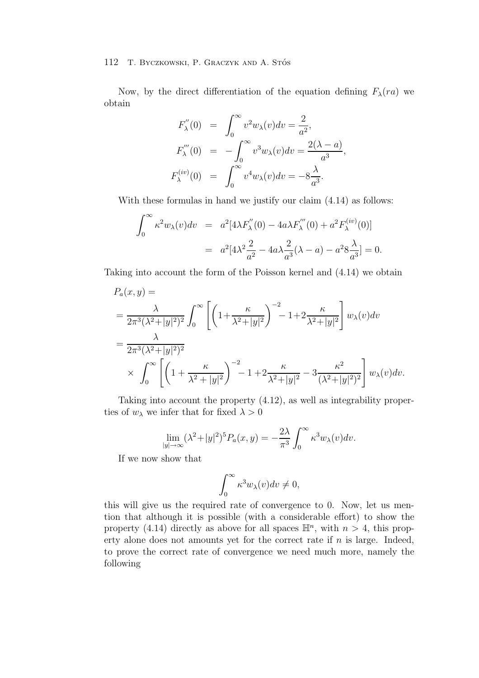Now, by the direct differentiation of the equation defining  $F_{\lambda}(ra)$  we obtain

$$
F''_{\lambda}(0) = \int_0^{\infty} v^2 w_{\lambda}(v) dv = \frac{2}{a^2},
$$
  
\n
$$
F''_{\lambda}(0) = -\int_0^{\infty} v^3 w_{\lambda}(v) dv = \frac{2(\lambda - a)}{a^3},
$$
  
\n
$$
F^{(iv)}_{\lambda}(0) = \int_0^{\infty} v^4 w_{\lambda}(v) dv = -8 \frac{\lambda}{a^3}.
$$

With these formulas in hand we justify our claim (4.14) as follows:

$$
\int_0^\infty \kappa^2 w_\lambda(v) dv = a^2 [4\lambda F''_\lambda(0) - 4a\lambda F''_\lambda(0) + a^2 F^{(iv)}_\lambda(0)]
$$
  
= 
$$
a^2 [4\lambda^2 \frac{2}{a^2} - 4a\lambda \frac{2}{a^3}(\lambda - a) - a^2 8 \frac{\lambda}{a^3}] = 0.
$$

Taking into account the form of the Poisson kernel and (4.14) we obtain

$$
P_a(x,y) =
$$
  
=  $\frac{\lambda}{2\pi^3(\lambda^2+|y|^2)^2} \int_0^\infty \left[ \left(1+\frac{\kappa}{\lambda^2+|y|^2}\right)^{-2} - 1+2\frac{\kappa}{\lambda^2+|y|^2} \right] w_\lambda(v) dv$   
=  $\frac{\lambda}{2\pi^3(\lambda^2+|y|^2)^2}$   
 $\times \int_0^\infty \left[ \left(1+\frac{\kappa}{\lambda^2+|y|^2}\right)^{-2} - 1+2\frac{\kappa}{\lambda^2+|y|^2} - 3\frac{\kappa^2}{(\lambda^2+|y|^2)^2} \right] w_\lambda(v) dv.$ 

Taking into account the property (4.12), as well as integrability properties of  $w_\lambda$  we infer that for fixed  $\lambda > 0$ 

$$
\lim_{|y| \to \infty} (\lambda^2 + |y|^2)^5 P_a(x, y) = -\frac{2\lambda}{\pi^3} \int_0^\infty \kappa^3 w_\lambda(v) dv.
$$

If we now show that

$$
\int_0^\infty \kappa^3 w_\lambda(v) dv \neq 0,
$$

this will give us the required rate of convergence to 0. Now, let us mention that although it is possible (with a considerable effort) to show the property (4.14) directly as above for all spaces  $\mathbb{H}^n$ , with  $n > 4$ , this property alone does not amounts yet for the correct rate if  $n$  is large. Indeed, to prove the correct rate of convergence we need much more, namely the following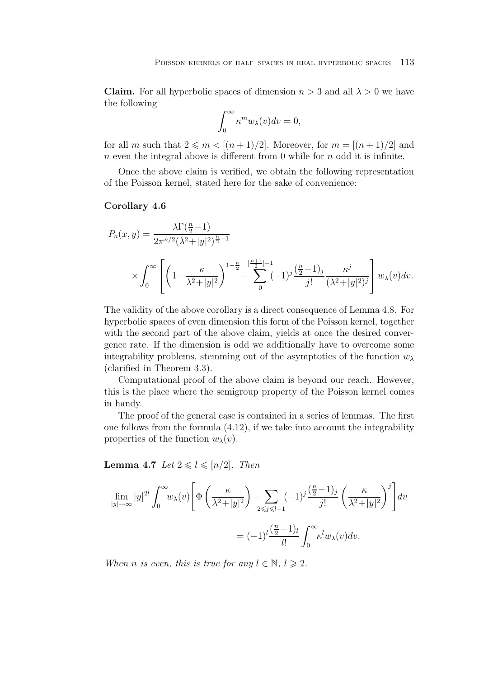**Claim.** For all hyperbolic spaces of dimension  $n > 3$  and all  $\lambda > 0$  we have the following

$$
\int_0^\infty \kappa^m w_\lambda(v) dv = 0,
$$

for all m such that  $2 \leq m < [(n+1)/2]$ . Moreover, for  $m = [(n+1)/2]$  and  $n$  even the integral above is different from 0 while for  $n$  odd it is infinite.

Once the above claim is verified, we obtain the following representation of the Poisson kernel, stated here for the sake of convenience:

## **Corollary 4.6**

$$
P_a(x,y) = \frac{\lambda \Gamma(\frac{n}{2} - 1)}{2\pi^{n/2} (\lambda^2 + |y|^2)^{\frac{n}{2} - 1}}
$$
  
\$\times \int\_0^\infty \left[ \left(1 + \frac{\kappa}{\lambda^2 + |y|^2} \right)^{1 - \frac{n}{2}} - \sum\_{n=0}^{\left[\frac{n+1}{2}\right] - 1} (-1)^j \frac{\left(\frac{n}{2} - 1\right)\_j}{j!} \frac{\kappa^j}{(\lambda^2 + |y|^2)^j} \right] w\_\lambda(v) dv.\$

The validity of the above corollary is a direct consequence of Lemma 4.8. For hyperbolic spaces of even dimension this form of the Poisson kernel, together with the second part of the above claim, yields at once the desired convergence rate. If the dimension is odd we additionally have to overcome some integrability problems, stemming out of the asymptotics of the function  $w_{\lambda}$ (clarified in Theorem 3.3).

Computational proof of the above claim is beyond our reach. However, this is the place where the semigroup property of the Poisson kernel comes in handy.

The proof of the general case is contained in a series of lemmas. The first one follows from the formula (4.12), if we take into account the integrability properties of the function  $w_\lambda(v)$ .

**Lemma 4.7** *Let*  $2 \leq l \leq [n/2]$ *. Then* 

$$
\lim_{|y| \to \infty} |y|^{2l} \int_0^\infty w_\lambda(v) \left[ \Phi\left(\frac{\kappa}{\lambda^2 + |y|^2}\right) - \sum_{2 \le j \le l-1} (-1)^j \frac{\left(\frac{n}{2} - 1\right)_j}{j!} \left(\frac{\kappa}{\lambda^2 + |y|^2}\right)^j \right] dv
$$

$$
= (-1)^l \frac{\left(\frac{n}{2} - 1\right)_l}{l!} \int_0^\infty \kappa^l w_\lambda(v) dv.
$$

*When n is even, this is true for any*  $l \in \mathbb{N}$ ,  $l \geq 2$ .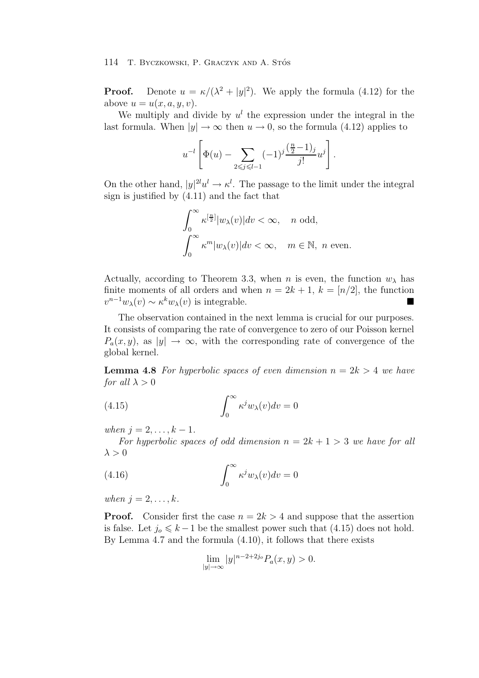**Proof.** Denote  $u = \kappa/(\lambda^2 + |y|^2)$ . We apply the formula (4.12) for the above  $u = u(x, a, u, v)$ .

We multiply and divide by  $u^l$  the expression under the integral in the last formula. When  $|y| \to \infty$  then  $u \to 0$ , so the formula (4.12) applies to

$$
u^{-l}\left[\Phi(u) - \sum_{2 \leq j \leq l-1} (-1)^j \frac{\left(\frac{n}{2} - 1\right)_j}{j!} u^j\right].
$$

On the other hand,  $|y|^{2l}u^l \to \kappa^l$ . The passage to the limit under the integral sign is justified by (4.11) and the fact that

$$
\int_0^\infty \kappa^{[\frac{n}{2}]} |w_\lambda(v)| dv < \infty, \quad n \text{ odd},
$$
  

$$
\int_0^\infty \kappa^m |w_\lambda(v)| dv < \infty, \quad m \in \mathbb{N}, \ n \text{ even}.
$$

Actually, according to Theorem 3.3, when n is even, the function  $w_{\lambda}$  has finite moments of all orders and when  $n = 2k + 1$ ,  $k = \lfloor n/2 \rfloor$ , the function  $v^{n-1}w_{\lambda}(v) \sim \kappa^k w_{\lambda}(v)$  is integrable.

The observation contained in the next lemma is crucial for our purposes. It consists of comparing the rate of convergence to zero of our Poisson kernel  $P_a(x, y)$ , as  $|y| \to \infty$ , with the corresponding rate of convergence of the global kernel.

**Lemma 4.8** For hyperbolic spaces of even dimension  $n = 2k > 4$  we have *for all*  $\lambda > 0$ 

(4.15) 
$$
\int_0^\infty \kappa^j w_\lambda(v) dv = 0
$$

*when*  $j = 2, ..., k - 1$ *.* 

For hyperbolic spaces of odd dimension  $n = 2k + 1 > 3$  we have for all  $\lambda > 0$ 

(4.16) 
$$
\int_0^\infty \kappa^j w_\lambda(v) dv = 0
$$

*when*  $j = 2, ..., k$ .

**Proof.** Consider first the case  $n = 2k > 4$  and suppose that the assertion is false. Let  $j_0 \leq k-1$  be the smallest power such that (4.15) does not hold. By Lemma 4.7 and the formula (4.10), it follows that there exists

$$
\lim_{|y|\to\infty}|y|^{n-2+2j_o}P_a(x,y)>0.
$$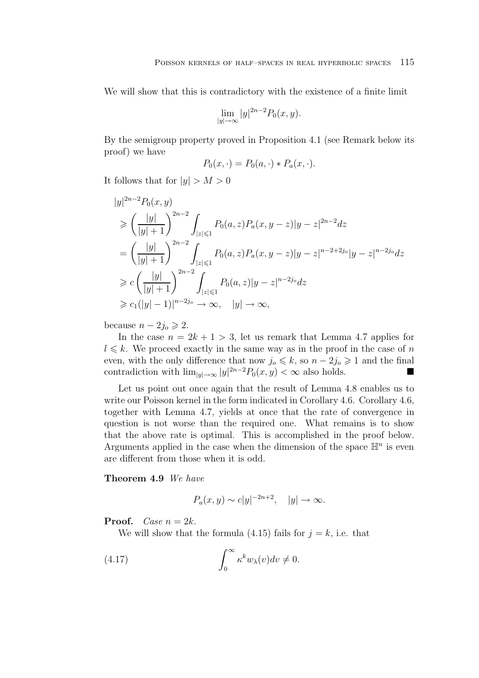We will show that this is contradictory with the existence of a finite limit

$$
\lim_{|y|\to\infty}|y|^{2n-2}P_0(x,y).
$$

By the semigroup property proved in Proposition 4.1 (see Remark below its proof) we have

$$
P_0(x, \cdot) = P_0(a, \cdot) * P_a(x, \cdot).
$$

It follows that for  $|y| > M > 0$ 

$$
|y|^{2n-2}P_0(x,y)
$$
  
\n
$$
\geq \left(\frac{|y|}{|y|+1}\right)^{2n-2} \int_{|z|\leq 1} P_0(a,z)P_a(x,y-z)|y-z|^{2n-2}dz
$$
  
\n
$$
= \left(\frac{|y|}{|y|+1}\right)^{2n-2} \int_{|z|\leq 1} P_0(a,z)P_a(x,y-z)|y-z|^{n-2+2j_o}|y-z|^{n-2j_o}dz
$$
  
\n
$$
\geq c \left(\frac{|y|}{|y|+1}\right)^{2n-2} \int_{|z|\leq 1} P_0(a,z)|y-z|^{n-2j_o}dz
$$
  
\n
$$
\geq c_1(|y|-1)|^{n-2j_o} \to \infty, \quad |y| \to \infty,
$$

because  $n - 2j_o \geqslant 2$ .

In the case  $n = 2k + 1 > 3$ , let us remark that Lemma 4.7 applies for  $l \leq k$ . We proceed exactly in the same way as in the proof in the case of n even, with the only difference that now  $j_0 \leq k$ , so  $n - 2j_0 \geq 1$  and the final contradiction with  $\lim_{|y| \to \infty} |y|^{2n-2} P_0(x, y) < \infty$  also holds.

Let us point out once again that the result of Lemma 4.8 enables us to write our Poisson kernel in the form indicated in Corollary 4.6. Corollary 4.6, together with Lemma 4.7, yields at once that the rate of convergence in question is not worse than the required one. What remains is to show that the above rate is optimal. This is accomplished in the proof below. Arguments applied in the case when the dimension of the space  $\mathbb{H}^n$  is even are different from those when it is odd.

**Theorem 4.9** *We have*

$$
P_a(x,y) \sim c|y|^{-2n+2}, \quad |y| \to \infty.
$$

**Proof.** *Case*  $n = 2k$ .

We will show that the formula (4.15) fails for  $j = k$ , i.e. that

(4.17) 
$$
\int_0^\infty \kappa^k w_\lambda(v) dv \neq 0.
$$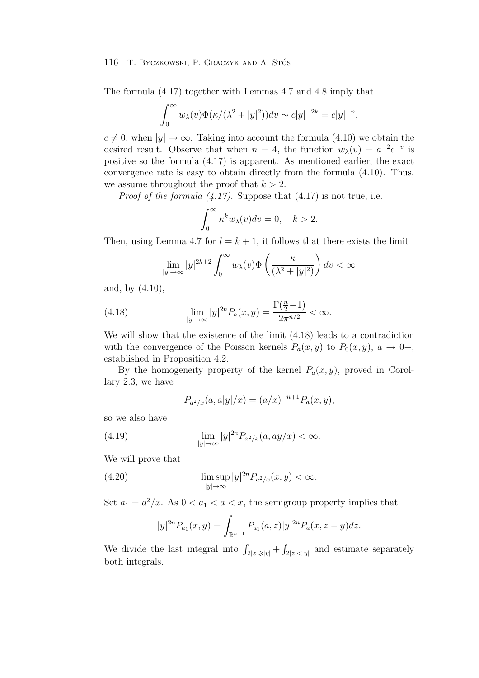The formula (4.17) together with Lemmas 4.7 and 4.8 imply that

$$
\int_0^\infty w_\lambda(v)\Phi(\kappa/(\lambda^2+|y|^2))dv \sim c|y|^{-2k} = c|y|^{-n},
$$

 $c \neq 0$ , when  $|y| \rightarrow \infty$ . Taking into account the formula (4.10) we obtain the desired result. Observe that when  $n = 4$ , the function  $w_{\lambda}(v) = a^{-2}e^{-v}$  is positive so the formula (4.17) is apparent. As mentioned earlier, the exact convergence rate is easy to obtain directly from the formula (4.10). Thus, we assume throughout the proof that  $k > 2$ .

*Proof of the formula (4.17).* Suppose that (4.17) is not true, i.e.

$$
\int_0^\infty \kappa^k w_\lambda(v) dv = 0, \quad k > 2.
$$

Then, using Lemma 4.7 for  $l = k + 1$ , it follows that there exists the limit

$$
\lim_{|y|\to\infty}|y|^{2k+2}\int_0^\infty w_\lambda(v)\Phi\left(\frac{\kappa}{(\lambda^2+|y|^2)}\right)dv < \infty
$$

and, by (4.10),

(4.18) 
$$
\lim_{|y| \to \infty} |y|^{2n} P_a(x, y) = \frac{\Gamma(\frac{n}{2} - 1)}{2\pi^{n/2}} < \infty.
$$

We will show that the existence of the limit (4.18) leads to a contradiction with the convergence of the Poisson kernels  $P_a(x, y)$  to  $P_0(x, y)$ ,  $a \to 0^+,$ established in Proposition 4.2.

By the homogeneity property of the kernel  $P_a(x, y)$ , proved in Corollary 2.3, we have

$$
P_{a^2/x}(a, a|y|/x) = (a/x)^{-n+1} P_a(x, y),
$$

so we also have

(4.19) 
$$
\lim_{|y| \to \infty} |y|^{2n} P_{a^2/x}(a, ay/x) < \infty.
$$

We will prove that

(4.20) 
$$
\limsup_{|y| \to \infty} |y|^{2n} P_{a^2/x}(x, y) < \infty.
$$

Set  $a_1 = a^2/x$ . As  $0 < a_1 < a < x$ , the semigroup property implies that

$$
|y|^{2n}P_{a_1}(x,y) = \int_{\mathbb{R}^{n-1}} P_{a_1}(a,z)|y|^{2n}P_a(x,z-y)dz.
$$

We divide the last integral into  $\int_{2|z|\geqslant|y|} + \int_{2|z|<|y|}$  and estimate separately both integrals.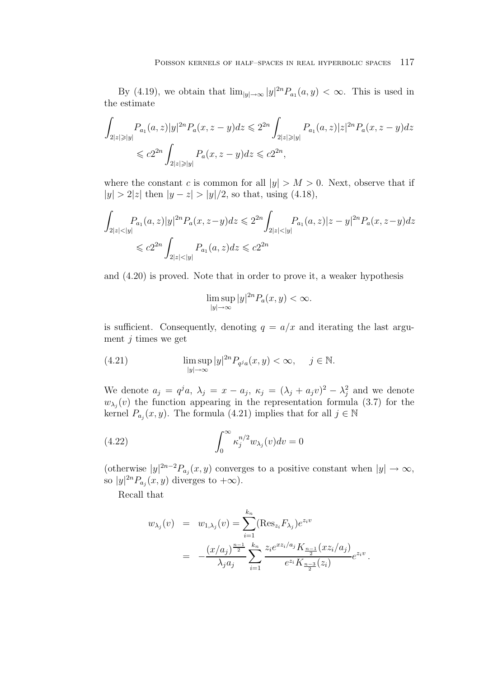By (4.19), we obtain that  $\lim_{|y|\to\infty} |y|^{2n} P_{a_1}(a, y) < \infty$ . This is used in the estimate

$$
\int_{2|z|\geqslant|y|} P_{a_1}(a, z)|y|^{2n} P_a(x, z-y)dz \leqslant 2^{2n} \int_{2|z|\geqslant|y|} P_{a_1}(a, z)|z|^{2n} P_a(x, z-y)dz
$$
  

$$
\leqslant c2^{2n} \int_{2|z|\geqslant|y|} P_a(x, z-y)dz \leqslant c2^{2n},
$$

where the constant c is common for all  $|y| > M > 0$ . Next, observe that if  $|y| > 2|z|$  then  $|y - z| > |y|/2$ , so that, using (4.18),

$$
\int_{2|z| < |y|} P_{a_1}(a, z) |y|^{2n} P_a(x, z - y) dz \leq 2^{2n} \int_{2|z| < |y|} P_{a_1}(a, z) |z - y|^{2n} P_a(x, z - y) dz
$$
\n
$$
\leq c 2^{2n} \int_{2|z| < |y|} P_{a_1}(a, z) dz \leq c 2^{2n}
$$

and (4.20) is proved. Note that in order to prove it, a weaker hypothesis

$$
\limsup_{|y|\to\infty}|y|^{2n}P_a(x,y)<\infty.
$$

is sufficient. Consequently, denoting  $q = a/x$  and iterating the last argument  $j$  times we get

(4.21) 
$$
\limsup_{|y| \to \infty} |y|^{2n} P_{q^ja}(x, y) < \infty, \quad j \in \mathbb{N}.
$$

We denote  $a_j = q^j a$ ,  $\lambda_j = x - a_j$ ,  $\kappa_j = (\lambda_j + a_j v)^2 - \lambda_j^2$  and we denote  $w_{\lambda_i}(v)$  the function appearing in the representation formula (3.7) for the kernel  $P_{a_j}(x, y)$ . The formula (4.21) implies that for all  $j \in \mathbb{N}$ 

(4.22) 
$$
\int_0^\infty \kappa_j^{n/2} w_{\lambda_j}(v) dv = 0
$$

(otherwise  $|y|^{2n-2}P_{a_j}(x,y)$  converges to a positive constant when  $|y| \to \infty$ , so  $|y|^{2n} P_{a_j}(x, y)$  diverges to  $+\infty$ ).

Recall that

$$
w_{\lambda_j}(v) = w_{1,\lambda_j}(v) = \sum_{i=1}^{k_n} (\text{Res}_{z_i} F_{\lambda_j}) e^{z_i v}
$$
  
= 
$$
-\frac{(x/a_j)^{\frac{n-1}{2}}}{\lambda_j a_j} \sum_{i=1}^{k_n} \frac{z_i e^{x z_i/a_j} K_{\frac{n-1}{2}}(xz_i/a_j)}{e^{z_i} K_{\frac{n-3}{2}}(z_i)} e^{z_i v}.
$$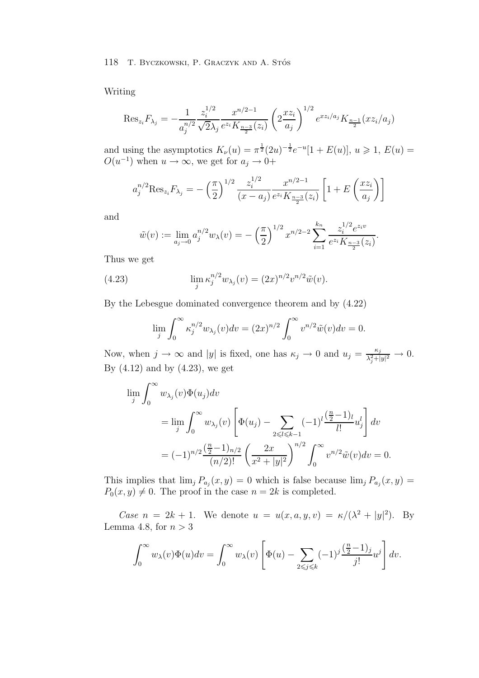Writing

$$
\operatorname{Res}_{z_i} F_{\lambda_j} = -\frac{1}{a_j^{n/2}} \frac{z_i^{1/2}}{\sqrt{2\lambda_j}} \frac{x^{n/2-1}}{e^{z_i} K_{\frac{n-3}{2}}(z_i)} \left( 2 \frac{x z_i}{a_j} \right)^{1/2} e^{x z_i/a_j} K_{\frac{n-1}{2}}(xz_i/a_j)
$$

and using the asymptotics  $K_{\nu}(u) = \pi^{\frac{1}{2}}(2u)^{-\frac{1}{2}}e^{-u}[1 + E(u)], u \geq 1, E(u) =$  $O(u^{-1})$  when  $u \to \infty$ , we get for  $a_j \to 0+$ 

$$
a_j^{n/2} \text{Res}_{z_i} F_{\lambda_j} = -\left(\frac{\pi}{2}\right)^{1/2} \frac{z_i^{1/2}}{(x - a_j)} \frac{x^{n/2 - 1}}{e^{z_i} K_{\frac{n-3}{2}}(z_i)} \left[1 + E\left(\frac{x z_i}{a_j}\right)\right]
$$

and

$$
\tilde{w}(v) := \lim_{a_j \to 0} a_j^{n/2} w_\lambda(v) = -\left(\frac{\pi}{2}\right)^{1/2} x^{n/2 - 2} \sum_{i=1}^{k_n} \frac{z_i^{1/2} e^{z_i v}}{e^{z_i} K_{\frac{n-3}{2}}(z_i)}.
$$

Thus we get

(4.23) 
$$
\lim_{j} \kappa_j^{n/2} w_{\lambda_j}(v) = (2x)^{n/2} v^{n/2} \tilde{w}(v).
$$

By the Lebesgue dominated convergence theorem and by (4.22)

$$
\lim_{j} \int_0^\infty \kappa_j^{n/2} w_{\lambda_j}(v) dv = (2x)^{n/2} \int_0^\infty v^{n/2} \tilde{w}(v) dv = 0.
$$

Now, when  $j \to \infty$  and |y| is fixed, one has  $\kappa_j \to 0$  and  $u_j = \frac{\kappa_j}{\lambda_j^2 + |y|^2} \to 0$ . By  $(4.12)$  and by  $(4.23)$ , we get

$$
\lim_{j} \int_{0}^{\infty} w_{\lambda_{j}}(v) \Phi(u_{j}) dv
$$
\n
$$
= \lim_{j} \int_{0}^{\infty} w_{\lambda_{j}}(v) \left[ \Phi(u_{j}) - \sum_{2 \leq l \leq k-1} (-1)^{l} \frac{\left(\frac{n}{2} - 1\right)l}{l!} u_{j}^{l} \right] dv
$$
\n
$$
= (-1)^{n/2} \frac{\left(\frac{n}{2} - 1\right)_{n/2}}{(n/2)!} \left( \frac{2x}{x^{2} + |y|^{2}} \right)^{n/2} \int_{0}^{\infty} v^{n/2} \tilde{w}(v) dv = 0.
$$

This implies that  $\lim_{j} P_{a_j}(x, y) = 0$  which is false because  $\lim_{j} P_{a_j}(x, y) =$  $P_0(x, y) \neq 0$ . The proof in the case  $n = 2k$  is completed.

*Case*  $n = 2k + 1$ . We denote  $u = u(x, a, y, v) = \kappa/(\lambda^2 + |y|^2)$ . By Lemma 4.8, for  $n > 3$ 

$$
\int_0^\infty w_\lambda(v)\Phi(u)dv = \int_0^\infty w_\lambda(v)\left[\Phi(u) - \sum_{2\leq j\leq k} (-1)^j \frac{\left(\frac{n}{2} - 1\right)_j}{j!} u^j\right]dv.
$$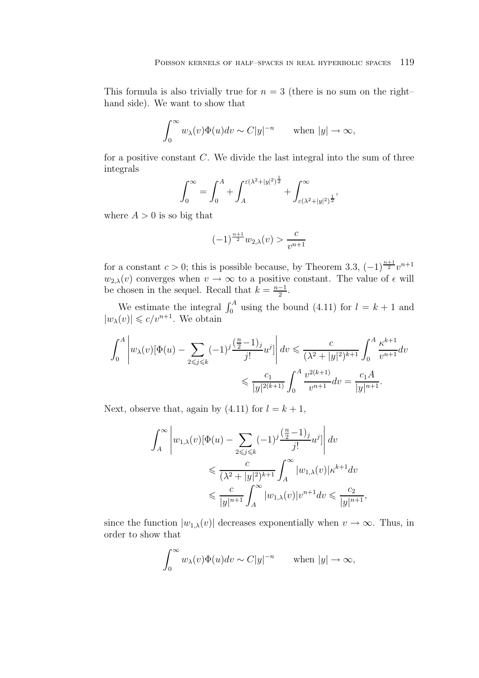This formula is also trivially true for  $n = 3$  (there is no sum on the right– hand side). We want to show that

$$
\int_0^\infty w_\lambda(v)\Phi(u)dv \sim C|y|^{-n} \quad \text{when } |y| \to \infty,
$$

for a positive constant  $C$ . We divide the last integral into the sum of three integrals

$$
\int_0^{\infty} = \int_0^A + \int_A^{\varepsilon(\lambda^2 + |y|^2)^{\frac{1}{2}}} + \int_{\varepsilon(\lambda^2 + |y|^2)^{\frac{1}{2}}}'^{\infty}
$$

where  $A > 0$  is so big that

$$
(-1)^{\frac{n+1}{2}}w_{2,\lambda}(v) > \frac{c}{v^{n+1}}
$$

for a constant  $c > 0$ ; this is possible because, by Theorem 3.3,  $(-1)^{\frac{n+1}{2}}v^{n+1}$  $w_{2,\lambda}(v)$  converges when  $v \to \infty$  to a positive constant. The value of  $\epsilon$  will be chosen in the sequel. Recall that  $k = \frac{n-1}{2}$ .

We estimate the integral  $\int_0^A$  using the bound (4.11) for  $l = k + 1$  and  $|w_\lambda(v)| \leqslant c/v^{n+1}$ . We obtain

$$
\int_0^A \left| w_\lambda(v) [\Phi(u) - \sum_{2 \leq j \leq k} (-1)^j \frac{(\frac{n}{2} - 1)_j}{j!} u^j \right| dv \leq \frac{c}{(\lambda^2 + |y|^2)^{k+1}} \int_0^A \frac{\kappa^{k+1}}{v^{n+1}} dv
$$
  

$$
\leq \frac{c_1}{|y|^{2(k+1)}} \int_0^A \frac{v^{2(k+1)}}{v^{n+1}} dv = \frac{c_1 A}{|y|^{n+1}}.
$$

Next, observe that, again by  $(4.11)$  for  $l = k + 1$ ,

$$
\int_A^{\infty} \left| w_{1,\lambda}(v) [\Phi(u) - \sum_{2 \leq j \leq k} (-1)^j \frac{(\frac{n}{2} - 1)_j}{j!} u^j \right| dv
$$
  

$$
\leq \frac{c}{(\lambda^2 + |y|^2)^{k+1}} \int_A^{\infty} |w_{1,\lambda}(v)| \kappa^{k+1} dv
$$
  

$$
\leq \frac{c}{|y|^{n+1}} \int_A^{\infty} |w_{1,\lambda}(v)| v^{n+1} dv \leq \frac{c_2}{|y|^{n+1}},
$$

since the function  $|w_{1,\lambda}(v)|$  decreases exponentially when  $v \to \infty$ . Thus, in order to show that

$$
\int_0^\infty w_\lambda(v)\Phi(u)dv \sim C|y|^{-n} \quad \text{when } |y| \to \infty,
$$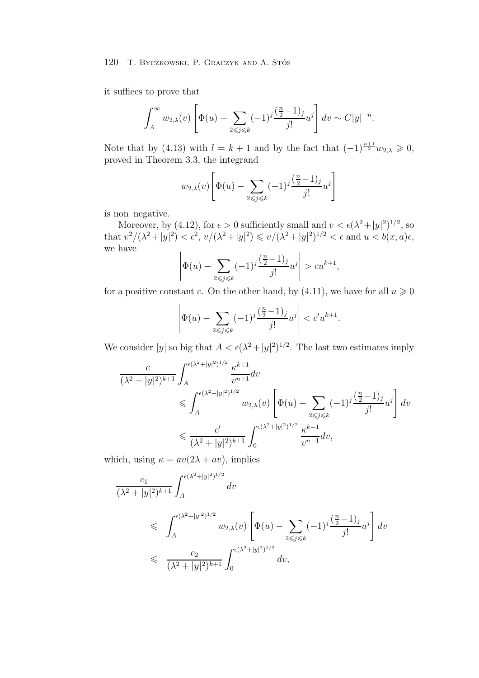it suffices to prove that

$$
\int_A^{\infty} w_{2,\lambda}(v) \left[ \Phi(u) - \sum_{2 \leq j \leq k} (-1)^j \frac{\left(\frac{n}{2} - 1\right)_j}{j!} u^j \right] dv \sim C|y|^{-n}.
$$

Note that by (4.13) with  $l = k + 1$  and by the fact that  $(-1)^{\frac{n+1}{2}} w_{2,\lambda} \geq 0$ , proved in Theorem 3.3, the integrand

$$
w_{2,\lambda}(v)\left[\Phi(u)-\sum_{2\leq j\leq k}(-1)^j\frac{\left(\frac{n}{2}-1\right)_j}{j!}u^j\right]
$$

is non–negative.

Moreover, by (4.12), for  $\epsilon > 0$  sufficiently small and  $v < \epsilon(\lambda^2 + |y|^2)^{1/2}$ , so that  $v^2/(\lambda^2+|y|^2) < \epsilon^2$ ,  $v/(\lambda^2+|y|^2) \le v/(\lambda^2+|y|^2)^{1/2} < \epsilon$  and  $u < b(x, a)\epsilon$ , we have

$$
\left| \Phi(u) - \sum_{2 \leq j \leq k} (-1)^j \frac{\left(\frac{n}{2} - 1\right)_j}{j!} u^j \right| > c u^{k+1},
$$

for a positive constant c. On the other hand, by (4.11), we have for all  $u \ge 0$ 

$$
\left| \Phi(u) - \sum_{2 \leq j \leq k} (-1)^j \frac{(\frac{n}{2} - 1)_j}{j!} u^j \right| < c' u^{k+1}.
$$

We consider |y| so big that  $A < \epsilon(\lambda^2 + |y|^2)^{1/2}$ . The last two estimates imply

$$
\frac{c}{(\lambda^2+|y|^2)^{k+1}} \int_A^{\epsilon(\lambda^2+|y|^2)^{1/2}} \frac{\kappa^{k+1}}{v^{n+1}} dv
$$
\n
$$
\leqslant \int_A^{\epsilon(\lambda^2+|y|^2)^{1/2}} w_{2,\lambda}(v) \left[ \Phi(u) - \sum_{2 \leqslant j \leqslant k} (-1)^j \frac{(\frac{n}{2}-1)_j}{j!} u^j \right] dv
$$
\n
$$
\leqslant \frac{c'}{(\lambda^2+|y|^2)^{k+1}} \int_0^{\epsilon(\lambda^2+|y|^2)^{1/2}} \frac{\kappa^{k+1}}{v^{n+1}} dv,
$$

which, using  $\kappa = av(2\lambda + av)$ , implies

$$
\frac{c_1}{(\lambda^2+|y|^2)^{k+1}} \int_A^{\epsilon(\lambda^2+|y|^2)^{1/2}} dv
$$
\n
$$
\leq \int_A^{\epsilon(\lambda^2+|y|^2)^{1/2}} w_{2,\lambda}(v) \left[ \Phi(u) - \sum_{2 \leq j \leq k} (-1)^j \frac{(\frac{n}{2}-1)_j}{j!} u^j \right] dv
$$
\n
$$
\leq \frac{c_2}{(\lambda^2+|y|^2)^{k+1}} \int_0^{\epsilon(\lambda^2+|y|^2)^{1/2}} dv,
$$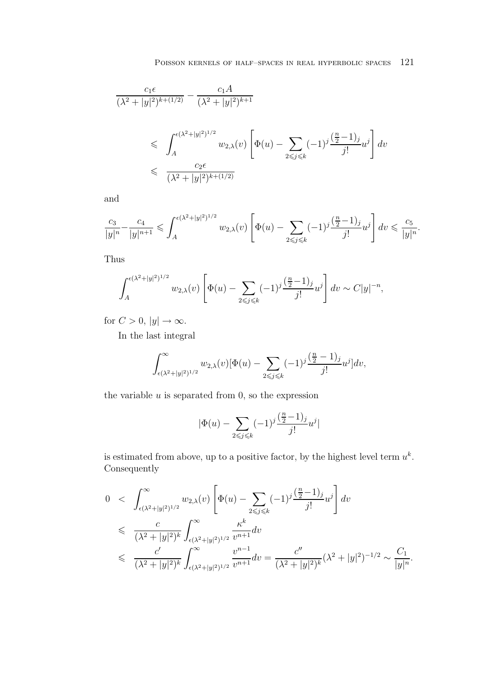$$
\frac{c_1 \epsilon}{(\lambda^2 + |y|^2)^{k + (1/2)}} - \frac{c_1 A}{(\lambda^2 + |y|^2)^{k+1}}\n\n\leq \int_A^{\epsilon(\lambda^2 + |y|^2)^{1/2}} w_{2,\lambda}(v) \left[ \Phi(u) - \sum_{2 \leq j \leq k} (-1)^j \frac{\left(\frac{n}{2} - 1\right)_j}{j!} u^j \right] dv\n\n\leq \frac{c_2 \epsilon}{(\lambda^2 + |y|^2)^{k + (1/2)}}
$$

and

$$
\frac{c_3}{|y|^n}-\frac{c_4}{|y|^{n+1}}\leqslant \int_A^{\epsilon (\lambda^2+|y|^2)^{1/2}} w_{2,\lambda}(v) \left[\Phi(u)-\sum_{2\leqslant j\leqslant k}(-1)^j\frac{(\frac{n}{2}-1)_j}{j!}u^j\right]dv\leqslant \frac{c_5}{|y|^n}.
$$

Thus

$$
\int_A^{(\epsilon(\lambda^2+|y|^2)^{1/2}} w_{2,\lambda}(v) \left[ \Phi(u) - \sum_{2 \le j \le k} (-1)^j \frac{\left(\frac{n}{2} - 1\right)_j}{j!} u^j \right] dv \sim C|y|^{-n},
$$

for  $C > 0$ ,  $|y| \to \infty$ .

In the last integral

$$
\int_{\epsilon(\lambda^2+|y|^2)^{1/2}}^{\infty}w_{2,\lambda}(v)[\Phi(u)-\sum_{2\leqslant j\leqslant k}(-1)^{j}\frac{(\frac{n}{2}-1)_j}{j!}u^j]dv,
$$

the variable  $u$  is separated from  $0$ , so the expression

$$
|\Phi(u)-\sum_{2\leqslant j\leqslant k}(-1)^j\frac{(\frac{n}{2}-1)_j}{j!}u^j|
$$

is estimated from above, up to a positive factor, by the highest level term  $u^k$ . Consequently

$$
0 < \int_{\epsilon(\lambda^2 + |y|^2)^{1/2}}^{\infty} w_{2,\lambda}(v) \left[ \Phi(u) - \sum_{2 \le j \le k} (-1)^j \frac{\left(\frac{n}{2} - 1\right)_j}{j!} u^j \right] dv
$$
  
\n
$$
\le \frac{c}{(\lambda^2 + |y|^2)^k} \int_{\epsilon(\lambda^2 + |y|^2)^{1/2}}^{\infty} \frac{\kappa^k}{v^{n+1}} dv
$$
  
\n
$$
\le \frac{c'}{(\lambda^2 + |y|^2)^k} \int_{\epsilon(\lambda^2 + |y|^2)^{1/2}}^{\infty} \frac{v^{n-1}}{v^{n+1}} dv = \frac{c''}{(\lambda^2 + |y|^2)^k} (\lambda^2 + |y|^2)^{-1/2} \sim \frac{C_1}{|y|^n}.
$$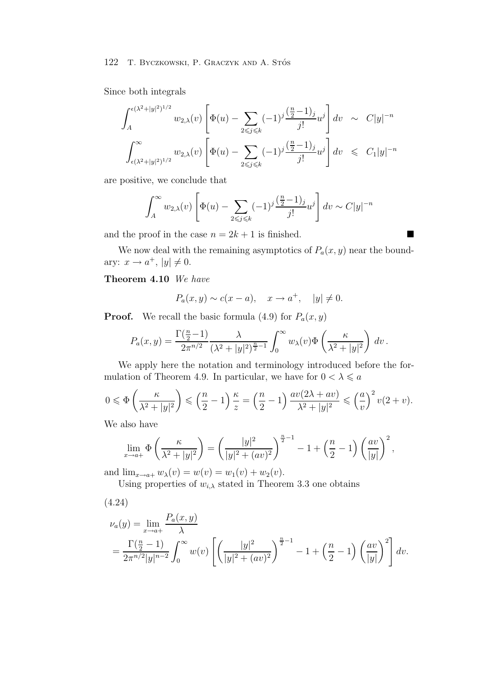Since both integrals

$$
\int_{A}^{\epsilon(\lambda^2+|y|^2)^{1/2}} w_{2,\lambda}(v) \left[ \Phi(u) - \sum_{2 \leq j \leq k} (-1)^j \frac{\left(\frac{n}{2}-1\right)_{j}}{j!} u^j \right] dv \sim C|y|^{-n}
$$
  

$$
\int_{\epsilon(\lambda^2+|y|^2)^{1/2}}^{\infty} w_{2,\lambda}(v) \left[ \Phi(u) - \sum_{2 \leq j \leq k} (-1)^j \frac{\left(\frac{n}{2}-1\right)_{j}}{j!} u^j \right] dv \leq C_1|y|^{-n}
$$

are positive, we conclude that

$$
\int_A^{\infty} w_{2,\lambda}(v) \left[ \Phi(u) - \sum_{2 \leq j \leq k} (-1)^j \frac{\left(\frac{n}{2} - 1\right)_j}{j!} u^j \right] dv \sim C|y|^{-n}
$$

and the proof in the case  $n = 2k + 1$  is finished.

We now deal with the remaining asymptotics of  $P_a(x, y)$  near the boundary:  $x \to a^+$ ,  $|y| \neq 0$ .

# **Theorem 4.10** *We have*

$$
P_a(x, y) \sim c(x - a), \quad x \to a^+, \quad |y| \neq 0.
$$

**Proof.** We recall the basic formula (4.9) for  $P_a(x, y)$ 

$$
P_a(x,y) = \frac{\Gamma(\frac{n}{2}-1)}{2\pi^{n/2}} \frac{\lambda}{(\lambda^2+|y|^2)^{\frac{n}{2}-1}} \int_0^\infty w_\lambda(v) \Phi\left(\frac{\kappa}{\lambda^2+|y|^2}\right) dv.
$$

We apply here the notation and terminology introduced before the formulation of Theorem 4.9. In particular, we have for  $0 < \lambda \le a$ 

$$
0 \leqslant \Phi\left(\frac{\kappa}{\lambda^2 + |y|^2}\right) \leqslant \left(\frac{n}{2} - 1\right) \frac{\kappa}{z} = \left(\frac{n}{2} - 1\right) \frac{av(2\lambda + av)}{\lambda^2 + |y|^2} \leqslant \left(\frac{a}{v}\right)^2 v(2 + v).
$$

We also have

$$
\lim_{x \to a+} \Phi\left(\frac{\kappa}{\lambda^2 + |y|^2}\right) = \left(\frac{|y|^2}{|y|^2 + (av)^2}\right)^{\frac{n}{2}-1} - 1 + \left(\frac{n}{2} - 1\right)\left(\frac{av}{|y|}\right)^2,
$$

and  $\lim_{x \to a+} w_{\lambda}(v) = w(v) = w_1(v) + w_2(v)$ .

Using properties of  $w_{i,\lambda}$  stated in Theorem 3.3 one obtains

(4.24)  
\n
$$
\nu_a(y) = \lim_{x \to a^+} \frac{P_a(x, y)}{\lambda}
$$
\n
$$
= \frac{\Gamma(\frac{n}{2} - 1)}{2\pi^{n/2}|y|^{n-2}} \int_0^\infty w(v) \left[ \left( \frac{|y|^2}{|y|^2 + (av)^2} \right)^{\frac{n}{2} - 1} - 1 + \left( \frac{n}{2} - 1 \right) \left( \frac{av}{|y|} \right)^2 \right] dv.
$$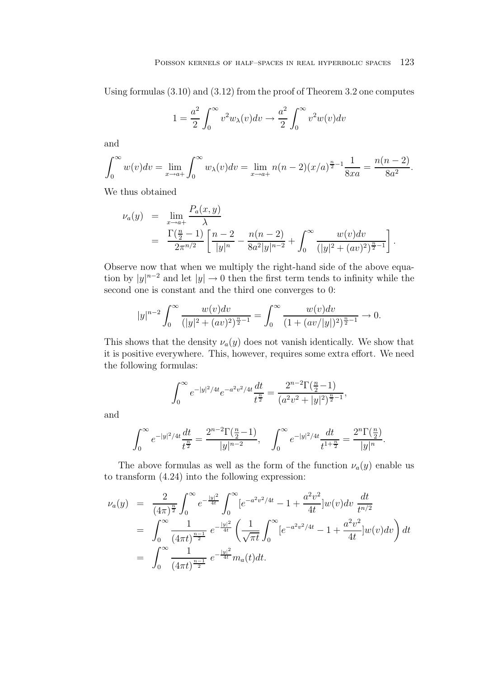Using formulas (3.10) and (3.12) from the proof of Theorem 3.2 one computes

$$
1 = \frac{a^2}{2} \int_0^\infty v^2 w_\lambda(v) dv \to \frac{a^2}{2} \int_0^\infty v^2 w(v) dv
$$

and

$$
\int_0^\infty w(v)dv = \lim_{x \to a^+} \int_0^\infty w_\lambda(v)dv = \lim_{x \to a^+} n(n-2)(x/a)^{\frac{n}{2}-1} \frac{1}{8xa} = \frac{n(n-2)}{8a^2}.
$$

We thus obtained

$$
\nu_a(y) = \lim_{x \to a^+} \frac{P_a(x, y)}{\lambda}
$$
  
= 
$$
\frac{\Gamma(\frac{n}{2} - 1)}{2\pi^{n/2}} \left[ \frac{n - 2}{|y|^n} - \frac{n(n - 2)}{8a^2|y|^{n-2}} + \int_0^\infty \frac{w(v)dv}{(|y|^2 + (av)^2)^{\frac{n}{2} - 1}} \right].
$$

Observe now that when we multiply the right-hand side of the above equation by  $|y|^{n-2}$  and let  $|y| \to 0$  then the first term tends to infinity while the second one is constant and the third one converges to 0:

$$
|y|^{n-2} \int_0^\infty \frac{w(v)dv}{(|y|^2 + (av)^2)^{\frac{n}{2}-1}} = \int_0^\infty \frac{w(v)dv}{(1 + (av/|y|)^2)^{\frac{n}{2}-1}} \to 0.
$$

This shows that the density  $\nu_a(y)$  does not vanish identically. We show that it is positive everywhere. This, however, requires some extra effort. We need the following formulas:

$$
\int_0^\infty e^{-|y|^2/4t} e^{-a^2v^2/4t} \frac{dt}{t^{\frac{n}{2}}} = \frac{2^{n-2} \Gamma(\frac{n}{2} - 1)}{(a^2v^2 + |y|^2)^{\frac{n}{2} - 1}},
$$

and

$$
\int_0^\infty e^{-|y|^2/4t}\frac{dt}{t^{\frac{n}{2}}}=\frac{2^{n-2}\Gamma(\frac{n}{2}-1)}{|y|^{n-2}},\quad \int_0^\infty e^{-|y|^2/4t}\frac{dt}{t^{1+\frac{n}{2}}}=\frac{2^n\Gamma(\frac{n}{2})}{|y|^n}.
$$

The above formulas as well as the form of the function  $\nu_a(y)$  enable us to transform (4.24) into the following expression:

$$
\nu_a(y) = \frac{2}{(4\pi)^{\frac{n}{2}}} \int_0^\infty e^{-\frac{|y|^2}{4t}} \int_0^\infty [e^{-a^2v^2/4t} - 1 + \frac{a^2v^2}{4t}] w(v) dv \frac{dt}{t^{n/2}}
$$
  
\n
$$
= \int_0^\infty \frac{1}{(4\pi t)^{\frac{n-1}{2}}} e^{-\frac{|y|^2}{4t}} \left( \frac{1}{\sqrt{\pi t}} \int_0^\infty [e^{-a^2v^2/4t} - 1 + \frac{a^2v^2}{4t}] w(v) dv \right) dt
$$
  
\n
$$
= \int_0^\infty \frac{1}{(4\pi t)^{\frac{n-1}{2}}} e^{-\frac{|y|^2}{4t}} m_a(t) dt.
$$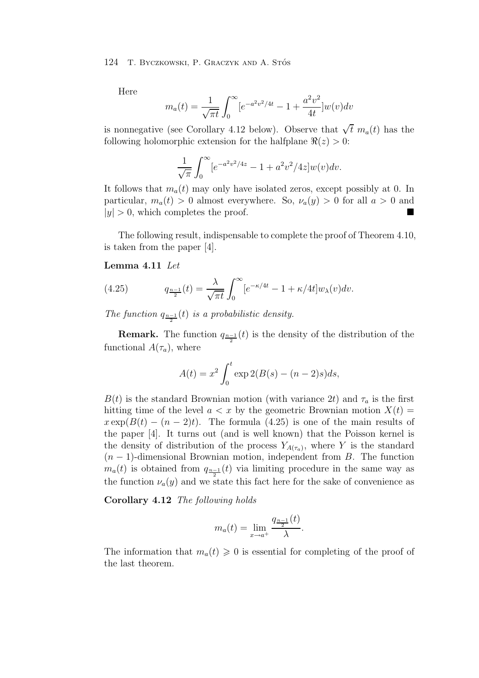Here

$$
m_a(t) = \frac{1}{\sqrt{\pi t}} \int_0^\infty [e^{-a^2 v^2/4t} - 1 + \frac{a^2 v^2}{4t}] w(v) dv
$$

is nonnegative (see Corollary 4.12 below). Observe that  $\sqrt{t}$  m<sub>a</sub>(t) has the following holomorphic extension for the halfplane  $\Re(z) > 0$ :

$$
\frac{1}{\sqrt{\pi}} \int_0^\infty [e^{-a^2 v^2/4z} - 1 + a^2 v^2/4z] w(v) dv.
$$

It follows that  $m_a(t)$  may only have isolated zeros, except possibly at 0. In particular,  $m_a(t) > 0$  almost everywhere. So,  $\nu_a(y) > 0$  for all  $a > 0$  and  $|y| > 0$ , which completes the proof. ■

The following result, indispensable to complete the proof of Theorem 4.10, is taken from the paper [4].

#### **Lemma 4.11** *Let*

(4.25) 
$$
q_{\frac{n-1}{2}}(t) = \frac{\lambda}{\sqrt{\pi t}} \int_0^\infty [e^{-\kappa/4t} - 1 + \kappa/4t] w_\lambda(v) dv.
$$

The function  $q_{\frac{n-1}{2}}(t)$  *is a probabilistic density.* 

**Remark.** The function  $q_{\frac{n-1}{2}}(t)$  is the density of the distribution of the functional  $A(\tau_a)$ , where

$$
A(t) = x^2 \int_0^t \exp 2(B(s) - (n-2)s)ds,
$$

 $B(t)$  is the standard Brownian motion (with variance 2t) and  $\tau_a$  is the first hitting time of the level  $a < x$  by the geometric Brownian motion  $X(t) =$  $x \exp(B(t) - (n-2)t)$ . The formula (4.25) is one of the main results of the paper [4]. It turns out (and is well known) that the Poisson kernel is the density of distribution of the process  $Y_{A(\tau_a)}$ , where Y is the standard  $(n-1)$ -dimensional Brownian motion, independent from B. The function  $m_a(t)$  is obtained from  $q_{\frac{n-1}{2}}(t)$  via limiting procedure in the same way as the function  $\nu_a(y)$  and we state this fact here for the sake of convenience as

**Corollary 4.12** *The following holds*

$$
m_a(t) = \lim_{x \to a^+} \frac{q_{\frac{n-1}{2}}(t)}{\lambda}.
$$

The information that  $m_a(t) \geq 0$  is essential for completing of the proof of the last theorem.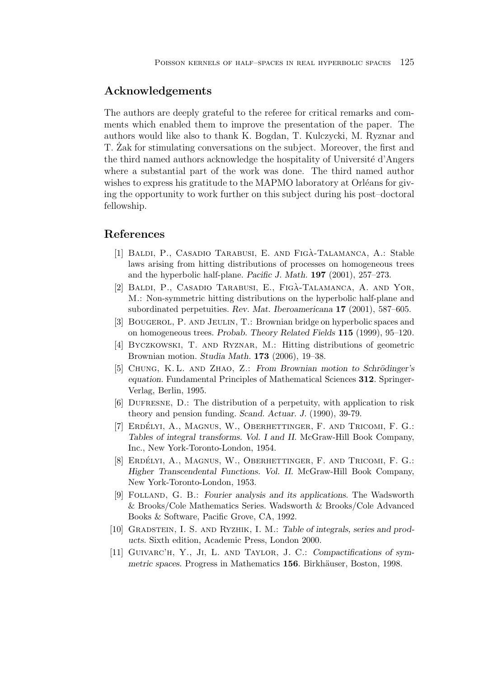# **Acknowledgements**

The authors are deeply grateful to the referee for critical remarks and comments which enabled them to improve the presentation of the paper. The authors would like also to thank K. Bogdan, T. Kulczycki, M. Ryznar and T. Zak for stimulating conversations on the subject. Moreover, the first and ˙ the third named authors acknowledge the hospitality of Université d'Angers where a substantial part of the work was done. The third named author wishes to express his gratitude to the MAPMO laboratory at Orléans for giving the opportunity to work further on this subject during his post–doctoral fellowship.

# **References**

- [1] BALDI, P., CASADIO TARABUSI, E. AND FIGÀ-TALAMANCA, A.: Stable laws arising from hitting distributions of processes on homogeneous trees and the hyperbolic half-plane. *Pacific J. Math.* **197** (2001), 257–273.
- [2] BALDI, P., CASADIO TARABUSI, E., FIGÀ-TALAMANCA, A. AND YOR, M.: Non-symmetric hitting distributions on the hyperbolic half-plane and subordinated perpetuities. *Rev. Mat. Iberoamericana* **17** (2001), 587–605.
- [3] Bougerol, P. and Jeulin, T.: Brownian bridge on hyperbolic spaces and on homogeneous trees. *Probab. Theory Related Fields* **115** (1999), 95–120.
- [4] Byczkowski, T. and Ryznar, M.: Hitting distributions of geometric Brownian motion. *Studia Math.* **173** (2006), 19–38.
- [5] CHUNG, K. L. AND ZHAO, Z.: *From Brownian motion to Schrödinger's equation*. Fundamental Principles of Mathematical Sciences **312**. Springer-Verlag, Berlin, 1995.
- [6] Dufresne, D.: The distribution of a perpetuity, with application to risk theory and pension funding. *Scand. Actuar. J.* (1990), 39-79.
- [7] ERDÉLYI, A., MAGNUS, W., OBERHETTINGER, F. AND TRICOMI, F. G.: *Tables of integral transforms. Vol. I and II*. McGraw-Hill Book Company, Inc., New York-Toronto-London, 1954.
- [8] ERDÉLYI, A., MAGNUS, W., OBERHETTINGER, F. AND TRICOMI, F. G.: *Higher Transcendental Functions. Vol. II*. McGraw-Hill Book Company, New York-Toronto-London, 1953.
- [9] Folland, G. B.: *Fourier analysis and its applications*. The Wadsworth & Brooks/Cole Mathematics Series. Wadsworth & Brooks/Cole Advanced Books & Software, Pacific Grove, CA, 1992.
- [10] Gradstein, I. S. and Ryzhik, I. M.: *Table of integrals, series and products*. Sixth edition, Academic Press, London 2000.
- [11] Guivarc'h, Y., Ji, L. and Taylor, J. C.: *Compactifications of symmetric spaces*. Progress in Mathematics 156. Birkhäuser, Boston, 1998.